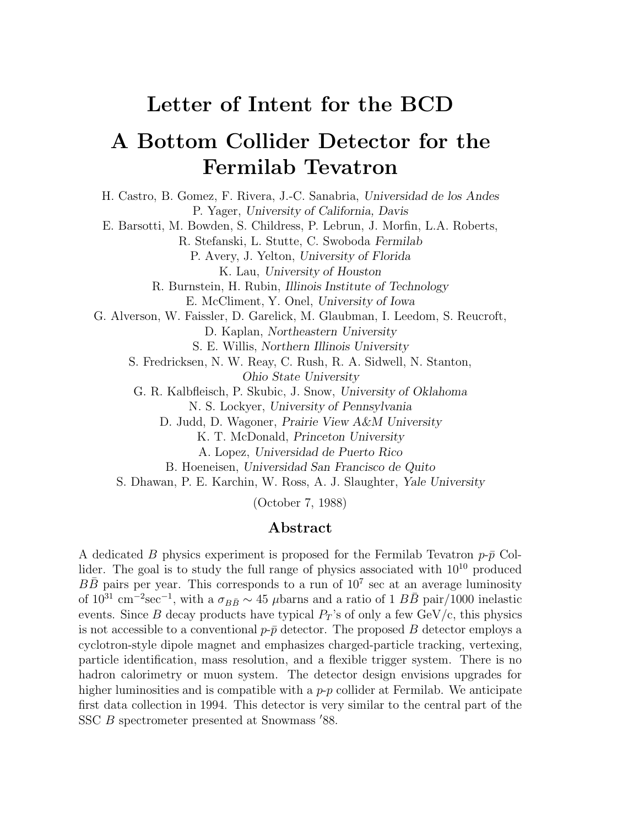# **Letter of Intent for the BCD**

# **A Bottom Collider Detector for the Fermilab Tevatron**

H. Castro, B. Gomez, F. Rivera, J.-C. Sanabria, *Universidad de los Andes* P. Yager, *University of California, Davis* E. Barsotti, M. Bowden, S. Childress, P. Lebrun, J. Morfin, L.A. Roberts, R. Stefanski, L. Stutte, C. Swoboda *Fermilab* P. Avery, J. Yelton, *University of Florida* K. Lau, *University of Houston* R. Burnstein, H. Rubin, *Illinois Institute of Technology* E. McCliment, Y. Onel, *University of Iowa* G. Alverson, W. Faissler, D. Garelick, M. Glaubman, I. Leedom, S. Reucroft, D. Kaplan, *Northeastern University* S. E. Willis, *Northern Illinois University* S. Fredricksen, N. W. Reay, C. Rush, R. A. Sidwell, N. Stanton, *Ohio State University* G. R. Kalbfleisch, P. Skubic, J. Snow, *University of Oklahoma* N. S. Lockyer, *University of Pennsylvania* D. Judd, D. Wagoner, *Prairie View A&M University* K. T. McDonald, *Princeton University* A. Lopez, *Universidad de Puerto Rico* B. Hoeneisen, *Universidad San Francisco de Quito* S. Dhawan, P. E. Karchin, W. Ross, A. J. Slaughter, *Yale University*

(October 7, 1988)

### **Abstract**

A dedicated B physics experiment is proposed for the Fermilab Tevatron  $p-\bar{p}$  Collider. The goal is to study the full range of physics associated with  $10^{10}$  produced  $B\overline{B}$  pairs per year. This corresponds to a run of  $10^7$  sec at an average luminosity of  $10^{31}$  cm<sup>-2</sup>sec<sup>-1</sup>, with a  $\sigma_{B\bar{B}} \sim 45$  µbarns and a ratio of 1  $B\bar{B}$  pair/1000 inelastic events. Since B decay products have typical  $P_T$ 's of only a few GeV/c, this physics is not accessible to a conventional  $p-\bar{p}$  detector. The proposed B detector employs a cyclotron-style dipole magnet and emphasizes charged-particle tracking, vertexing, particle identification, mass resolution, and a flexible trigger system. There is no hadron calorimetry or muon system. The detector design envisions upgrades for higher luminosities and is compatible with a  $p-p$  collider at Fermilab. We anticipate first data collection in 1994. This detector is very similar to the central part of the SSC  $B$  spectrometer presented at Snowmass  $'88$ .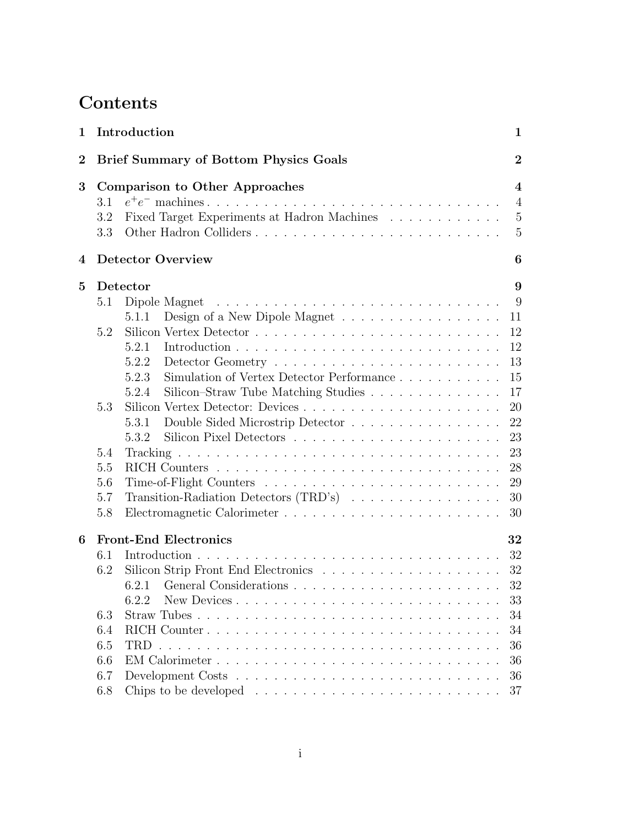# **Contents**

| 1                                                                |     | Introduction<br>$\mathbf{1}$                                                      |                         |  |  |
|------------------------------------------------------------------|-----|-----------------------------------------------------------------------------------|-------------------------|--|--|
| <b>Brief Summary of Bottom Physics Goals</b><br>$\boldsymbol{2}$ |     |                                                                                   |                         |  |  |
| 3                                                                |     | <b>Comparison to Other Approaches</b>                                             | $\overline{\mathbf{4}}$ |  |  |
|                                                                  | 3.1 |                                                                                   | $\overline{4}$          |  |  |
|                                                                  | 3.2 | Fixed Target Experiments at Hadron Machines                                       | -5                      |  |  |
|                                                                  | 3.3 |                                                                                   | 5                       |  |  |
| 4                                                                |     | <b>Detector Overview</b>                                                          |                         |  |  |
| $\bf{5}$                                                         |     | Detector                                                                          | 9                       |  |  |
|                                                                  | 5.1 | Dipole Magnet $\dots \dots \dots \dots \dots \dots \dots \dots \dots \dots \dots$ | 9                       |  |  |
|                                                                  |     | 5.1.1                                                                             | 11                      |  |  |
|                                                                  | 5.2 |                                                                                   | 12                      |  |  |
|                                                                  |     | 5.2.1                                                                             | 12                      |  |  |
|                                                                  |     | 5.2.2                                                                             | 13                      |  |  |
|                                                                  |     | Simulation of Vertex Detector Performance<br>5.2.3                                | 15                      |  |  |
|                                                                  |     | Silicon-Straw Tube Matching Studies<br>5.2.4                                      | 17                      |  |  |
|                                                                  | 5.3 |                                                                                   | 20                      |  |  |
|                                                                  |     | Double Sided Microstrip Detector<br>5.3.1                                         | 22                      |  |  |
|                                                                  |     | 5.3.2                                                                             | 23                      |  |  |
|                                                                  | 5.4 |                                                                                   | 23                      |  |  |
|                                                                  | 5.5 |                                                                                   | 28                      |  |  |
|                                                                  | 5.6 |                                                                                   | 29                      |  |  |
|                                                                  | 5.7 | Transition-Radiation Detectors (TRD's)                                            | 30                      |  |  |
|                                                                  | 5.8 |                                                                                   | 30                      |  |  |
| 6                                                                |     | <b>Front-End Electronics</b>                                                      | 32                      |  |  |
|                                                                  | 6.1 |                                                                                   | 32                      |  |  |
|                                                                  | 6.2 | Silicon Strip Front End Electronics 32                                            |                         |  |  |
|                                                                  |     |                                                                                   |                         |  |  |
|                                                                  |     | 6.2.2<br>New Devices                                                              | 33                      |  |  |
|                                                                  | 6.3 |                                                                                   | 34                      |  |  |
|                                                                  | 6.4 |                                                                                   | 34                      |  |  |
|                                                                  | 6.5 | TRD.                                                                              | 36                      |  |  |
|                                                                  | 6.6 |                                                                                   | 36                      |  |  |
|                                                                  | 6.7 |                                                                                   | 36                      |  |  |
|                                                                  | 6.8 |                                                                                   | 37                      |  |  |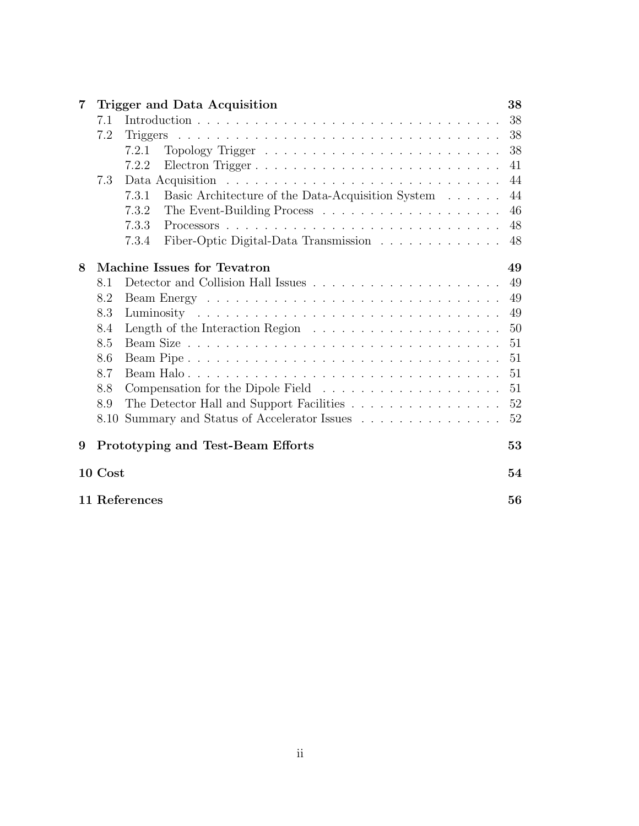| 7 |         | Trigger and Data Acquisition                                                                                                             | 38 |
|---|---------|------------------------------------------------------------------------------------------------------------------------------------------|----|
|   | 7.1     |                                                                                                                                          | 38 |
|   | 7.2     | <u>. A series and a series are a series and a series and a series and a series and a series and a series and a se</u><br><b>Triggers</b> | 38 |
|   |         | 7.2.1                                                                                                                                    | 38 |
|   |         | Electron Trigger<br>7.2.2                                                                                                                | 41 |
|   | 7.3     |                                                                                                                                          | 44 |
|   |         | Basic Architecture of the Data-Acquisition System<br>7.3.1                                                                               | 44 |
|   |         | 7.3.2                                                                                                                                    | 46 |
|   |         | 7.3.3                                                                                                                                    | 48 |
|   |         | Fiber-Optic Digital-Data Transmission<br>7.3.4                                                                                           | 48 |
| 8 |         | Machine Issues for Tevatron                                                                                                              | 49 |
|   | 8.1     |                                                                                                                                          | 49 |
|   | 8.2     |                                                                                                                                          | 49 |
|   | 8.3     |                                                                                                                                          | 49 |
|   | 8.4     |                                                                                                                                          | 50 |
|   | 8.5     |                                                                                                                                          | 51 |
|   | 8.6     |                                                                                                                                          | 51 |
|   | 8.7     |                                                                                                                                          | 51 |
|   | 8.8     |                                                                                                                                          | 51 |
|   | 8.9     |                                                                                                                                          | 52 |
|   | 8.10    | Summary and Status of Accelerator Issues                                                                                                 | 52 |
| 9 |         | Prototyping and Test-Beam Efforts                                                                                                        | 53 |
|   | 10 Cost |                                                                                                                                          | 54 |
|   |         | 11 References                                                                                                                            | 56 |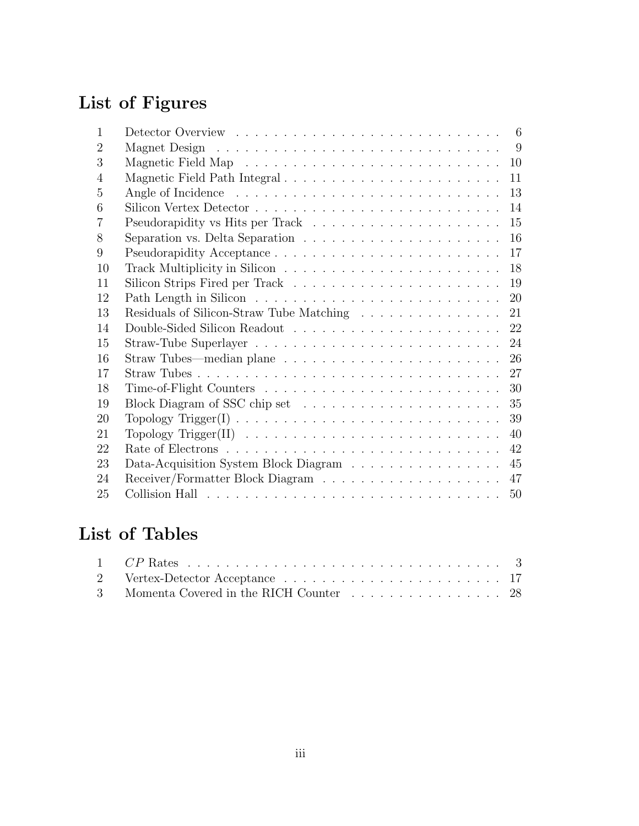# **List of Figures**

| 1              | 6                                                                                           |
|----------------|---------------------------------------------------------------------------------------------|
| $\overline{2}$ | 9                                                                                           |
| 3              | 10                                                                                          |
| 4              | Magnetic Field Path Integral<br>11                                                          |
| 5              | 13                                                                                          |
| 6              | 14                                                                                          |
| 7              | 15                                                                                          |
| 8              | 16<br>Separation vs. Delta Separation $\ldots \ldots \ldots \ldots \ldots \ldots \ldots$    |
| 9              | 17                                                                                          |
| 10             | 18                                                                                          |
| 11             | 19                                                                                          |
| 12             | 20                                                                                          |
| 13             | Residuals of Silicon-Straw Tube Matching<br>21                                              |
| 14             |                                                                                             |
| 15             | 24                                                                                          |
| 16             | Straw Tubes—median plane $\ldots \ldots \ldots \ldots \ldots \ldots \ldots \ldots 26$       |
| 17             |                                                                                             |
| 18             | 30                                                                                          |
| 19             |                                                                                             |
| 20             | 39                                                                                          |
| 21             | Topology Trigger(II) $\ldots \ldots \ldots \ldots \ldots \ldots \ldots \ldots \ldots$<br>40 |
| 22             | 42                                                                                          |
| 23             | Data-Acquisition System Block Diagram<br>45                                                 |
| 24             | 47                                                                                          |
| 25             | 50                                                                                          |

# **List of Tables**

| 3 Momenta Covered in the RICH Counter 28 |  |  |  |  |  |  |  |  |
|------------------------------------------|--|--|--|--|--|--|--|--|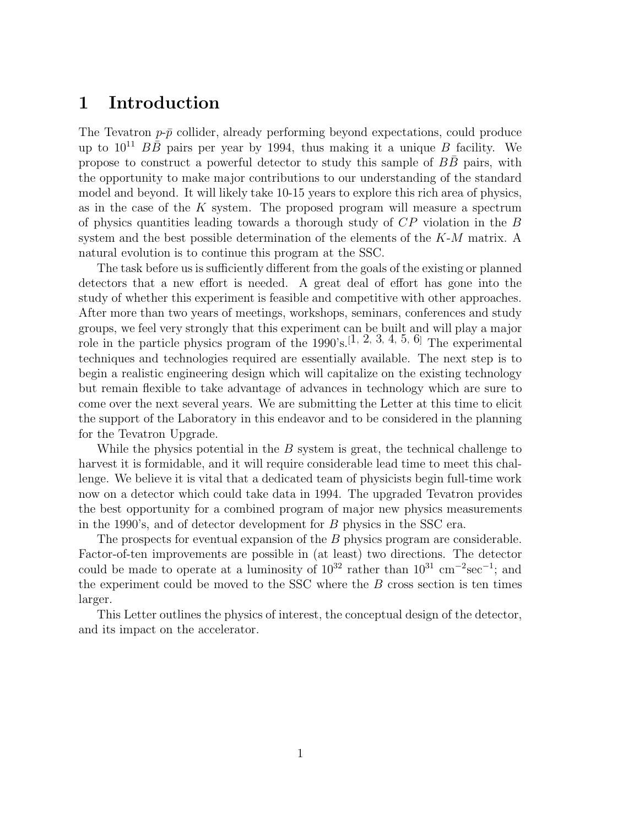# **1 Introduction**

The Tevatron  $p-\bar{p}$  collider, already performing beyond expectations, could produce up to  $10^{11}$   $B\overline{B}$  pairs per year by 1994, thus making it a unique B facility. We propose to construct a powerful detector to study this sample of  $BB$  pairs, with the opportunity to make major contributions to our understanding of the standard model and beyond. It will likely take 10-15 years to explore this rich area of physics, as in the case of the  $K$  system. The proposed program will measure a spectrum of physics quantities leading towards a thorough study of CP violation in the B system and the best possible determination of the elements of the  $K-M$  matrix. A natural evolution is to continue this program at the SSC.

The task before us is sufficiently different from the goals of the existing or planned detectors that a new effort is needed. A great deal of effort has gone into the study of whether this experiment is feasible and competitive with other approaches. After more than two years of meetings, workshops, seminars, conferences and study groups, we feel very strongly that this experiment can be built and will play a major role in the particle physics program of the 1990's.[1*,* 2*,* 3*,* 4*,* 5*,* 6] The experimental techniques and technologies required are essentially available. The next step is to begin a realistic engineering design which will capitalize on the existing technology but remain flexible to take advantage of advances in technology which are sure to come over the next several years. We are submitting the Letter at this time to elicit the support of the Laboratory in this endeavor and to be considered in the planning for the Tevatron Upgrade.

While the physics potential in the  $B$  system is great, the technical challenge to harvest it is formidable, and it will require considerable lead time to meet this challenge. We believe it is vital that a dedicated team of physicists begin full-time work now on a detector which could take data in 1994. The upgraded Tevatron provides the best opportunity for a combined program of major new physics measurements in the 1990's, and of detector development for B physics in the SSC era.

The prospects for eventual expansion of the B physics program are considerable. Factor-of-ten improvements are possible in (at least) two directions. The detector could be made to operate at a luminosity of  $10^{32}$  rather than  $10^{31}$  cm<sup>-2</sup>sec<sup>-1</sup>; and the experiment could be moved to the SSC where the  $B$  cross section is ten times larger.

This Letter outlines the physics of interest, the conceptual design of the detector, and its impact on the accelerator.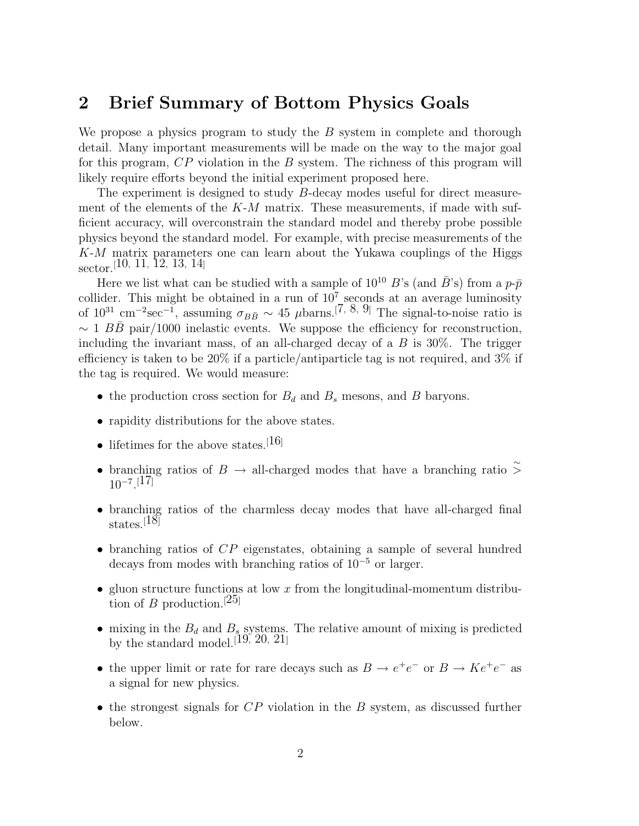# **2 Brief Summary of Bottom Physics Goals**

We propose a physics program to study the  $B$  system in complete and thorough detail. Many important measurements will be made on the way to the major goal for this program, CP violation in the B system. The richness of this program will likely require efforts beyond the initial experiment proposed here.

The experiment is designed to study B-decay modes useful for direct measurement of the elements of the  $K-M$  matrix. These measurements, if made with sufficient accuracy, will overconstrain the standard model and thereby probe possible physics beyond the standard model. For example, with precise measurements of the K-M matrix parameters one can learn about the Yukawa couplings of the Higgs sector.[10*,* 11*,* 12*,* 13*,* 14]

Here we list what can be studied with a sample of  $10^{10}$  B's (and  $\bar{B}$ 's) from a  $p\text{-}\bar{p}$ collider. This might be obtained in a run of  $10^7$  seconds at an average luminosity of  $10^{31}$  cm<sup>-2</sup>sec<sup>-1</sup>, assuming  $\sigma_{B\bar{B}} \sim 45$  µbarns.<sup>[7, 8, 9]</sup> The signal-to-noise ratio is  $\sim 1 B\bar{B}$  pair/1000 inelastic events. We suppose the efficiency for reconstruction, including the invariant mass, of an all-charged decay of a  $B$  is 30%. The trigger efficiency is taken to be 20% if a particle/antiparticle tag is not required, and  $3\%$  if the tag is required. We would measure:

- the production cross section for  $B_d$  and  $B_s$  mesons, and  $B$  baryons.
- rapidity distributions for the above states.
- lifetimes for the above states.<sup>[16]</sup>
- branching ratios of B → all-charged modes that have a branching ratio  $\stackrel{\sim}{\ge}$ 10−<sup>7</sup>. [17]
- branching ratios of the charmless decay modes that have all-charged final states.[18]
- branching ratios of CP eigenstates, obtaining a sample of several hundred decays from modes with branching ratios of 10−<sup>5</sup> or larger.
- gluon structure functions at low  $x$  from the longitudinal-momentum distribution of B production.<sup>[25]</sup>
- mixing in the  $B_d$  and  $B_s$  systems. The relative amount of mixing is predicted by the standard model.[19*,* 20*,* 21]
- the upper limit or rate for rare decays such as  $B \to e^+e^-$  or  $B \to Ke^+e^-$  as a signal for new physics.
- the strongest signals for  $CP$  violation in the B system, as discussed further below.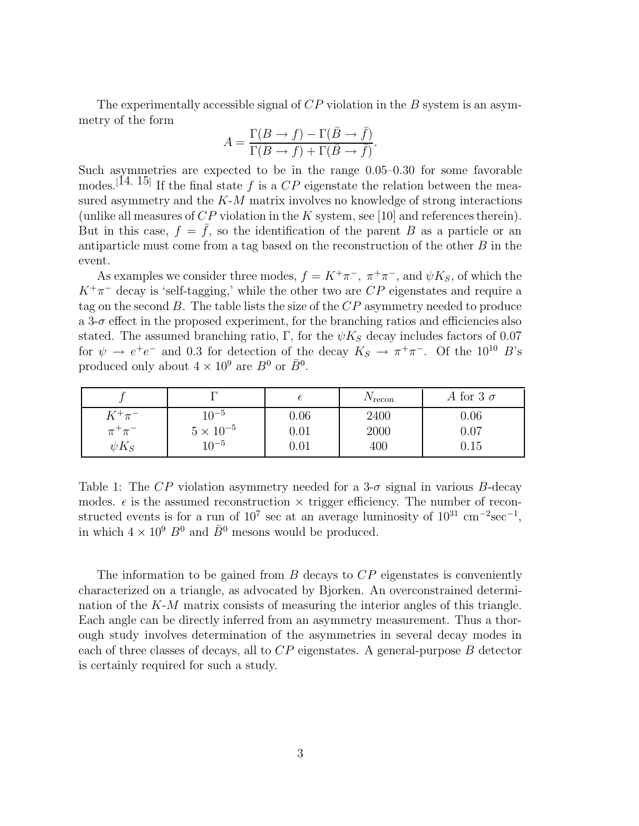The experimentally accessible signal of  $CP$  violation in the B system is an asymmetry of the form

$$
A = \frac{\Gamma(B \to f) - \Gamma(\bar{B} \to \bar{f})}{\Gamma(B \to f) + \Gamma(\bar{B} \to \bar{f})}.
$$

Such asymmetries are expected to be in the range 0.05–0.30 for some favorable modes.<sup>[14, 15]</sup> If the final state f is a  $CP$  eigenstate the relation between the measured asymmetry and the  $K-M$  matrix involves no knowledge of strong interactions (unlike all measures of  $CP$  violation in the K system, see [10] and references therein). But in this case,  $f = \overline{f}$ , so the identification of the parent B as a particle or an antiparticle must come from a tag based on the reconstruction of the other  $B$  in the event.

As examples we consider three modes,  $f = K^+\pi^-$ ,  $\pi^+\pi^-$ , and  $\psi K_S$ , of which the  $K^+\pi^-$  decay is 'self-tagging,' while the other two are  $CP$  eigenstates and require a tag on the second B. The table lists the size of the  $CP$  asymmetry needed to produce a 3- $\sigma$  effect in the proposed experiment, for the branching ratios and efficiencies also stated. The assumed branching ratio,  $\Gamma$ , for the  $\psi K_S$  decay includes factors of 0.07 for  $\psi \to e^+e^-$  and 0.3 for detection of the decay  $K_S \to \pi^+\pi^-$ . Of the 10<sup>10</sup> B's produced only about  $4 \times 10^9$  are  $B^0$  or  $\bar{B}^0$ .

|                            |                                 |              | $\frac{1}{2}$ recon | A for 3 $\sigma$ |
|----------------------------|---------------------------------|--------------|---------------------|------------------|
| $K^+\pi^-$<br>$\pi^+\pi^-$ | $10^{-5}$<br>$5 \times 10^{-5}$ | 0.06<br>0.01 | 2400<br>2000        | 0.06<br>0.07     |
| $\psi K_S$                 | $10^{-5}$                       | 0.01         | 400                 | 0.15             |

Table 1: The  $\overline{CP}$  violation asymmetry needed for a 3- $\sigma$  signal in various B-decay modes.  $\epsilon$  is the assumed reconstruction  $\times$  trigger efficiency. The number of reconstructed events is for a run of  $10^7$  sec at an average luminosity of  $10^{31}$  cm<sup>-2</sup>sec<sup>-1</sup>, in which  $4 \times 10^9$   $B^0$  and  $\bar{B}^0$  mesons would be produced.

The information to be gained from  $B$  decays to  $\mathbb{CP}$  eigenstates is conveniently characterized on a triangle, as advocated by Bjorken. An overconstrained determination of the  $K-M$  matrix consists of measuring the interior angles of this triangle. Each angle can be directly inferred from an asymmetry measurement. Thus a thorough study involves determination of the asymmetries in several decay modes in each of three classes of decays, all to  $CP$  eigenstates. A general-purpose  $B$  detector is certainly required for such a study.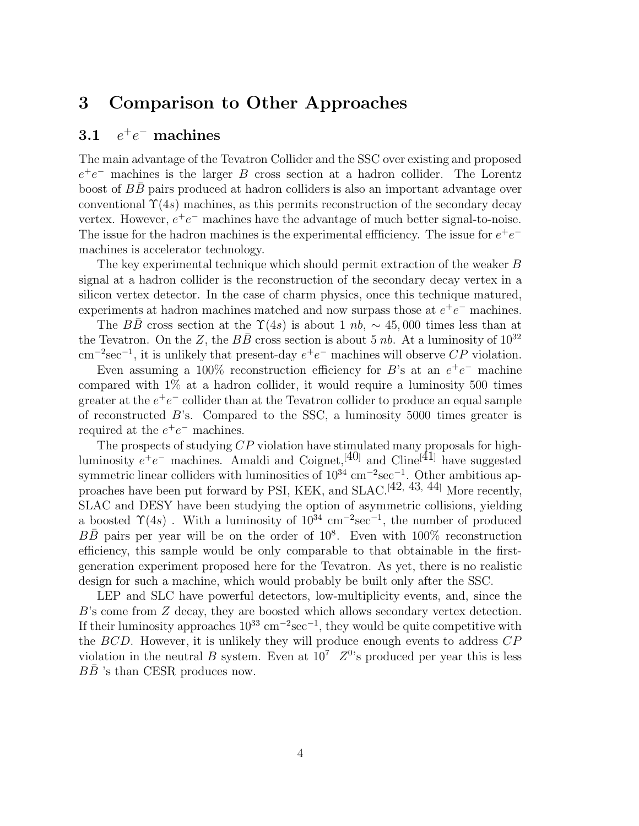# **3 Comparison to Other Approaches**

## **3.1** e+e<sup>−</sup> **machines**

The main advantage of the Tevatron Collider and the SSC over existing and proposed  $e^+e^-$  machines is the larger B cross section at a hadron collider. The Lorentz boost of BB pairs produced at hadron colliders is also an important advantage over conventional  $\Upsilon(4s)$  machines, as this permits reconstruction of the secondary decay vertex. However,  $e^+e^-$  machines have the advantage of much better signal-to-noise. The issue for the hadron machines is the experimental efficiency. The issue for  $e^+e^$ machines is accelerator technology.

The key experimental technique which should permit extraction of the weaker B signal at a hadron collider is the reconstruction of the secondary decay vertex in a silicon vertex detector. In the case of charm physics, once this technique matured, experiments at hadron machines matched and now surpass those at  $e^+e^-$  machines.

The BB cross section at the  $\Upsilon(4s)$  is about 1 nb, ~ 45,000 times less than at the Tevatron. On the Z, the  $B\bar{B}$  cross section is about 5 nb. At a luminosity of  $10^{32}$  $\text{cm}^{-2}\text{sec}^{-1}$ , it is unlikely that present-day  $e^+e^-$  machines will observe CP violation.

Even assuming a 100% reconstruction efficiency for B's at an  $e^+e^-$  machine compared with 1% at a hadron collider, it would require a luminosity 500 times greater at the  $e^+e^-$  collider than at the Tevatron collider to produce an equal sample of reconstructed B's. Compared to the SSC, a luminosity 5000 times greater is required at the  $e^+e^-$  machines.

The prospects of studying CP violation have stimulated many proposals for highluminosity  $e^+e^-$  machines. Amaldi and Coignet,<sup>[40]</sup> and Cline<sup>[41]</sup> have suggested symmetric linear colliders with luminosities of  $10^{34}$  cm<sup>-2</sup>sec<sup>-1</sup>. Other ambitious approaches have been put forward by PSI, KEK, and SLAC.[42*,* 43*,* 44] More recently, SLAC and DESY have been studying the option of asymmetric collisions, yielding a boosted  $\Upsilon(4s)$ . With a luminosity of  $10^{34}$  cm<sup>-2</sup>sec<sup>-1</sup>, the number of produced BB pairs per year will be on the order of  $10^8$ . Even with  $100\%$  reconstruction efficiency, this sample would be only comparable to that obtainable in the firstgeneration experiment proposed here for the Tevatron. As yet, there is no realistic design for such a machine, which would probably be built only after the SSC.

LEP and SLC have powerful detectors, low-multiplicity events, and, since the B's come from Z decay, they are boosted which allows secondary vertex detection. If their luminosity approaches  $10^{33}$  cm<sup>-2</sup>sec<sup>-1</sup>, they would be quite competitive with the BCD. However, it is unlikely they will produce enough events to address CP violation in the neutral B system. Even at  $10^7$   $Z^0$ 's produced per year this is less  $B\bar{B}$  's than CESR produces now.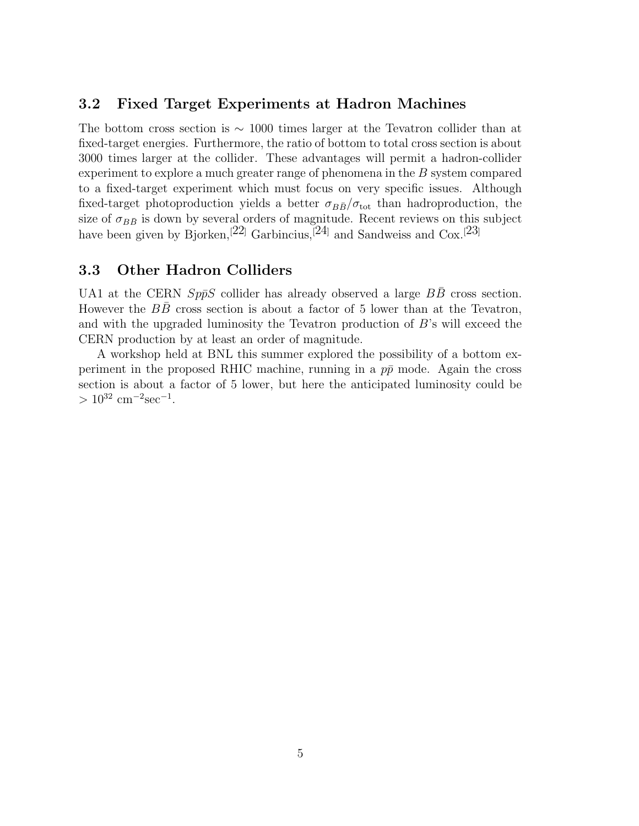### **3.2 Fixed Target Experiments at Hadron Machines**

The bottom cross section is ∼ 1000 times larger at the Tevatron collider than at fixed-target energies. Furthermore, the ratio of bottom to total cross section is about 3000 times larger at the collider. These advantages will permit a hadron-collider experiment to explore a much greater range of phenomena in the B system compared to a fixed-target experiment which must focus on very specific issues. Although fixed-target photoproduction yields a better  $\sigma_{B\bar{B}}/\sigma_{\text{tot}}$  than hadroproduction, the size of  $\sigma_{B\bar{B}}$  is down by several orders of magnitude. Recent reviews on this subject have been given by Bjorken,<sup>[22]</sup> Garbincius,<sup>[24]</sup> and Sandweiss and Cox.<sup>[23]</sup>

## **3.3 Other Hadron Colliders**

UA1 at the CERN  $Sp\bar{p}S$  collider has already observed a large  $B\bar{B}$  cross section. However the  $B\overline{B}$  cross section is about a factor of 5 lower than at the Tevatron, and with the upgraded luminosity the Tevatron production of B's will exceed the CERN production by at least an order of magnitude.

A workshop held at BNL this summer explored the possibility of a bottom experiment in the proposed RHIC machine, running in a  $p\bar{p}$  mode. Again the cross section is about a factor of 5 lower, but here the anticipated luminosity could be  $> 10^{32}$  cm<sup>-2</sup>sec<sup>-1</sup>.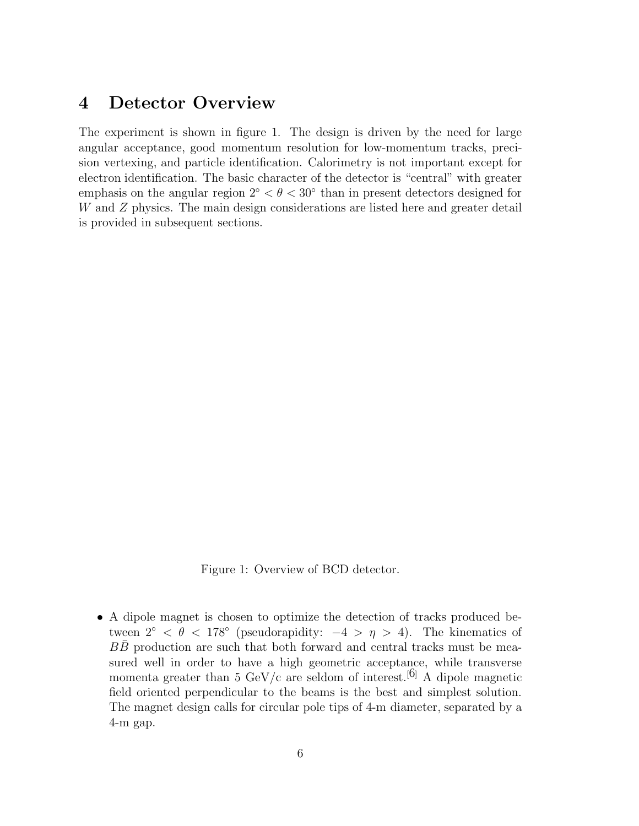# **4 Detector Overview**

The experiment is shown in figure 1. The design is driven by the need for large angular acceptance, good momentum resolution for low-momentum tracks, precision vertexing, and particle identification. Calorimetry is not important except for electron identification. The basic character of the detector is "central" with greater emphasis on the angular region  $2° < \theta < 30°$  than in present detectors designed for W and Z physics. The main design considerations are listed here and greater detail is provided in subsequent sections.

Figure 1: Overview of BCD detector.

• A dipole magnet is chosen to optimize the detection of tracks produced between  $2^{\circ} < \theta < 178^{\circ}$  (pseudorapidity:  $-4 > \eta > 4$ ). The kinematics of BB production are such that both forward and central tracks must be measured well in order to have a high geometric acceptance, while transverse momenta greater than 5 GeV/c are seldom of interest.<sup>[6]</sup> A dipole magnetic field oriented perpendicular to the beams is the best and simplest solution. The magnet design calls for circular pole tips of 4-m diameter, separated by a 4-m gap.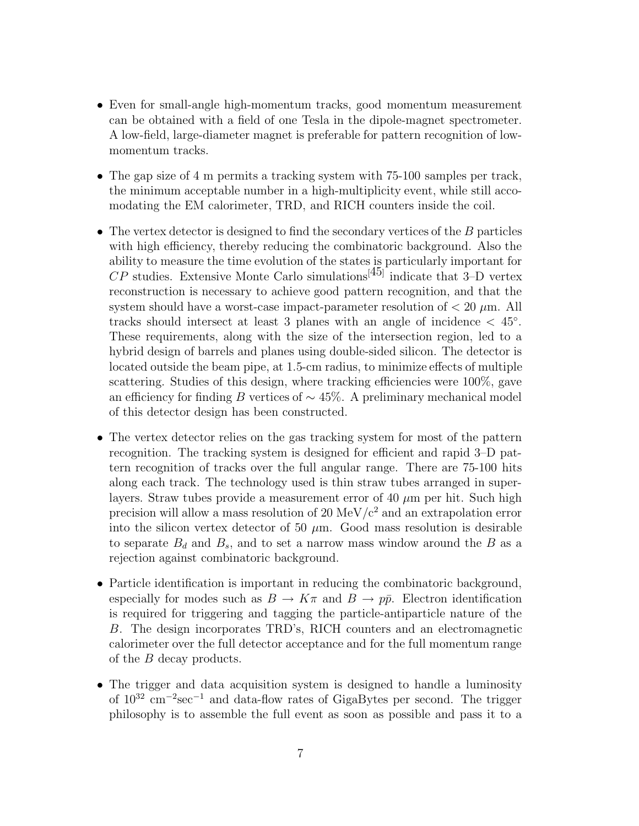- Even for small-angle high-momentum tracks, good momentum measurement can be obtained with a field of one Tesla in the dipole-magnet spectrometer. A low-field, large-diameter magnet is preferable for pattern recognition of lowmomentum tracks.
- The gap size of 4 m permits a tracking system with 75-100 samples per track, the minimum acceptable number in a high-multiplicity event, while still accomodating the EM calorimeter, TRD, and RICH counters inside the coil.
- The vertex detector is designed to find the secondary vertices of the  $B$  particles with high efficiency, thereby reducing the combinatoric background. Also the ability to measure the time evolution of the states is particularly important for  $CP$  studies. Extensive Monte Carlo simulations<sup>[45]</sup> indicate that 3–D vertex reconstruction is necessary to achieve good pattern recognition, and that the system should have a worst-case impact-parameter resolution of  $< 20 \mu$ m. All tracks should intersect at least 3 planes with an angle of incidence  $\langle 45^\circ \rangle$ . These requirements, along with the size of the intersection region, led to a hybrid design of barrels and planes using double-sided silicon. The detector is located outside the beam pipe, at 1.5-cm radius, to minimize effects of multiple scattering. Studies of this design, where tracking efficiencies were 100%, gave an efficiency for finding B vertices of  $\sim$  45%. A preliminary mechanical model of this detector design has been constructed.
- The vertex detector relies on the gas tracking system for most of the pattern recognition. The tracking system is designed for efficient and rapid 3–D pattern recognition of tracks over the full angular range. There are 75-100 hits along each track. The technology used is thin straw tubes arranged in superlayers. Straw tubes provide a measurement error of 40  $\mu$ m per hit. Such high precision will allow a mass resolution of 20  $\text{MeV}/c^2$  and an extrapolation error into the silicon vertex detector of 50  $\mu$ m. Good mass resolution is desirable to separate  $B_d$  and  $B_s$ , and to set a narrow mass window around the B as a rejection against combinatoric background.
- Particle identification is important in reducing the combinatoric background, especially for modes such as  $B \to K\pi$  and  $B \to p\bar{p}$ . Electron identification is required for triggering and tagging the particle-antiparticle nature of the B. The design incorporates TRD's, RICH counters and an electromagnetic calorimeter over the full detector acceptance and for the full momentum range of the B decay products.
- The trigger and data acquisition system is designed to handle a luminosity of 10<sup>32</sup> cm−<sup>2</sup>sec−<sup>1</sup> and data-flow rates of GigaBytes per second. The trigger philosophy is to assemble the full event as soon as possible and pass it to a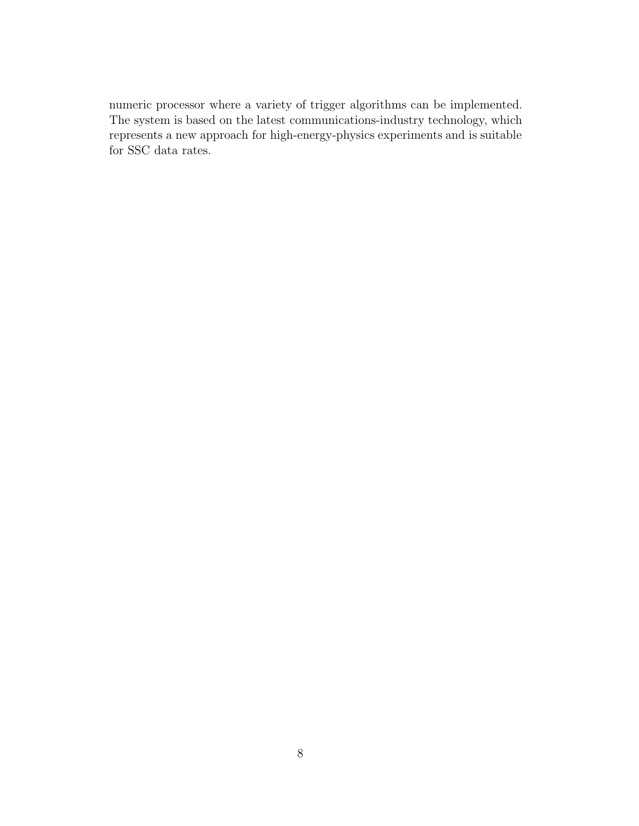numeric processor where a variety of trigger algorithms can be implemented. The system is based on the latest communications-industry technology, which represents a new approach for high-energy-physics experiments and is suitable for SSC data rates.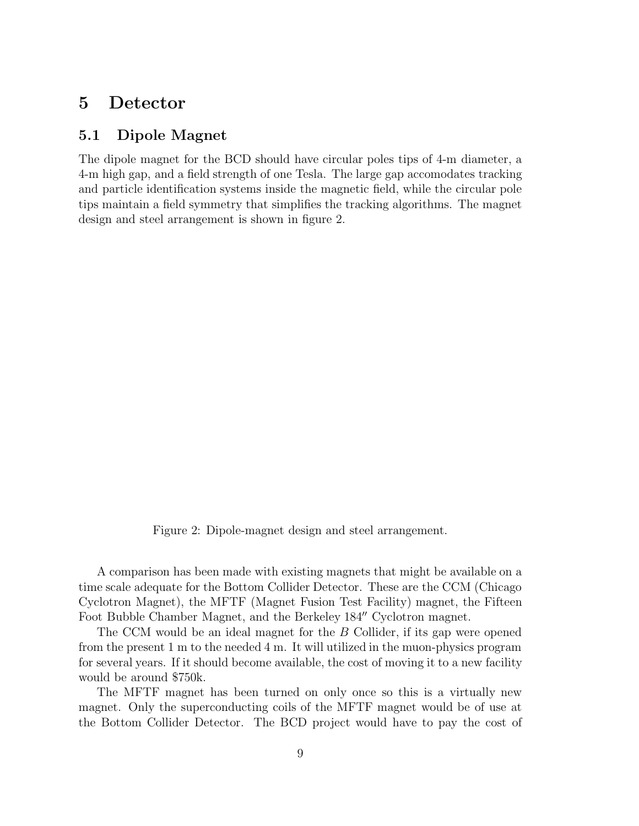# **5 Detector**

## **5.1 Dipole Magnet**

The dipole magnet for the BCD should have circular poles tips of 4-m diameter, a 4-m high gap, and a field strength of one Tesla. The large gap accomodates tracking and particle identification systems inside the magnetic field, while the circular pole tips maintain a field symmetry that simplifies the tracking algorithms. The magnet design and steel arrangement is shown in figure 2.

Figure 2: Dipole-magnet design and steel arrangement.

A comparison has been made with existing magnets that might be available on a time scale adequate for the Bottom Collider Detector. These are the CCM (Chicago Cyclotron Magnet), the MFTF (Magnet Fusion Test Facility) magnet, the Fifteen Foot Bubble Chamber Magnet, and the Berkeley 184" Cyclotron magnet.

The CCM would be an ideal magnet for the B Collider, if its gap were opened from the present 1 m to the needed 4 m. It will utilized in the muon-physics program for several years. If it should become available, the cost of moving it to a new facility would be around \$750k.

The MFTF magnet has been turned on only once so this is a virtually new magnet. Only the superconducting coils of the MFTF magnet would be of use at the Bottom Collider Detector. The BCD project would have to pay the cost of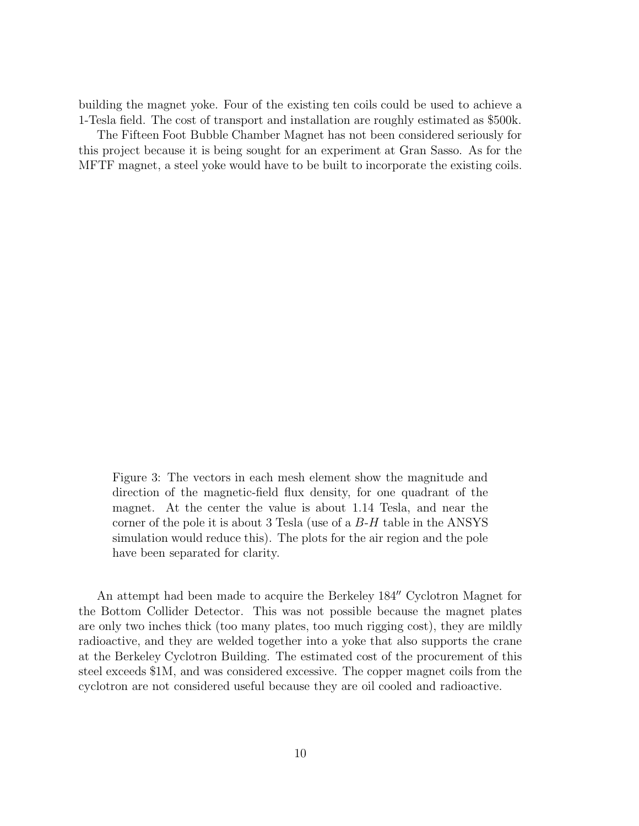building the magnet yoke. Four of the existing ten coils could be used to achieve a 1-Tesla field. The cost of transport and installation are roughly estimated as \$500k.

The Fifteen Foot Bubble Chamber Magnet has not been considered seriously for this project because it is being sought for an experiment at Gran Sasso. As for the MFTF magnet, a steel yoke would have to be built to incorporate the existing coils.

Figure 3: The vectors in each mesh element show the magnitude and direction of the magnetic-field flux density, for one quadrant of the magnet. At the center the value is about 1.14 Tesla, and near the corner of the pole it is about 3 Tesla (use of a  $B$ -H table in the ANSYS simulation would reduce this). The plots for the air region and the pole have been separated for clarity.

An attempt had been made to acquire the Berkeley 184" Cyclotron Magnet for the Bottom Collider Detector. This was not possible because the magnet plates are only two inches thick (too many plates, too much rigging cost), they are mildly radioactive, and they are welded together into a yoke that also supports the crane at the Berkeley Cyclotron Building. The estimated cost of the procurement of this steel exceeds \$1M, and was considered excessive. The copper magnet coils from the cyclotron are not considered useful because they are oil cooled and radioactive.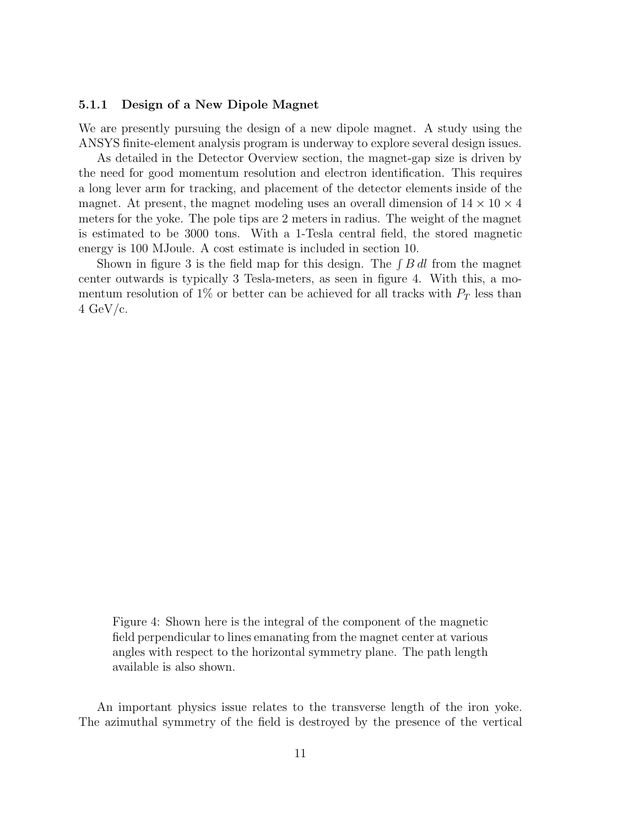#### **5.1.1 Design of a New Dipole Magnet**

We are presently pursuing the design of a new dipole magnet. A study using the ANSYS finite-element analysis program is underway to explore several design issues.

As detailed in the Detector Overview section, the magnet-gap size is driven by the need for good momentum resolution and electron identification. This requires a long lever arm for tracking, and placement of the detector elements inside of the magnet. At present, the magnet modeling uses an overall dimension of  $14 \times 10 \times 4$ meters for the yoke. The pole tips are 2 meters in radius. The weight of the magnet is estimated to be 3000 tons. With a 1-Tesla central field, the stored magnetic energy is 100 MJoule. A cost estimate is included in section 10.

Shown in figure 3 is the field map for this design. The  $\int B dl$  from the magnet center outwards is typically 3 Tesla-meters, as seen in figure 4. With this, a momentum resolution of  $1\%$  or better can be achieved for all tracks with  $P_T$  less than  $4 \text{ GeV/c}.$ 

Figure 4: Shown here is the integral of the component of the magnetic field perpendicular to lines emanating from the magnet center at various angles with respect to the horizontal symmetry plane. The path length available is also shown.

An important physics issue relates to the transverse length of the iron yoke. The azimuthal symmetry of the field is destroyed by the presence of the vertical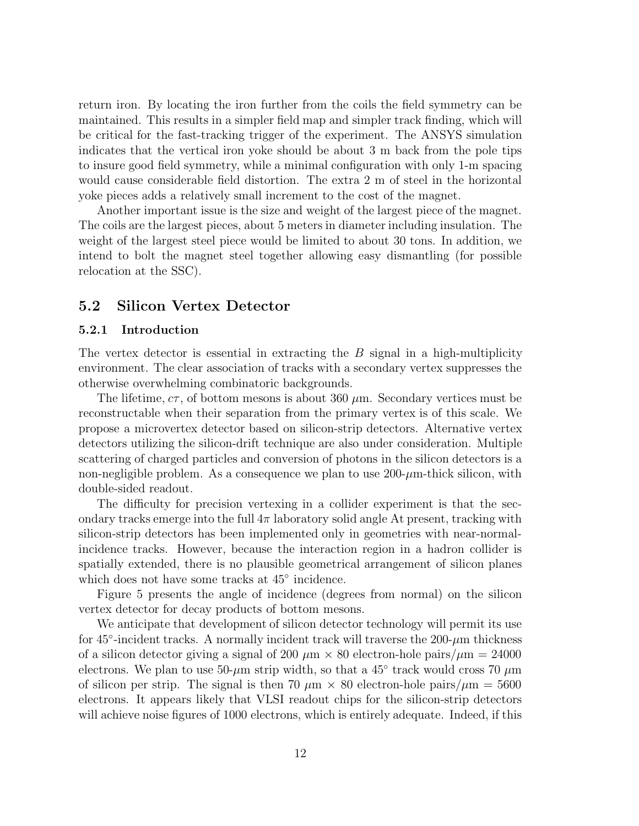return iron. By locating the iron further from the coils the field symmetry can be maintained. This results in a simpler field map and simpler track finding, which will be critical for the fast-tracking trigger of the experiment. The ANSYS simulation indicates that the vertical iron yoke should be about 3 m back from the pole tips to insure good field symmetry, while a minimal configuration with only 1-m spacing would cause considerable field distortion. The extra 2 m of steel in the horizontal yoke pieces adds a relatively small increment to the cost of the magnet.

Another important issue is the size and weight of the largest piece of the magnet. The coils are the largest pieces, about 5 meters in diameter including insulation. The weight of the largest steel piece would be limited to about 30 tons. In addition, we intend to bolt the magnet steel together allowing easy dismantling (for possible relocation at the SSC).

## **5.2 Silicon Vertex Detector**

#### **5.2.1 Introduction**

The vertex detector is essential in extracting the B signal in a high-multiplicity environment. The clear association of tracks with a secondary vertex suppresses the otherwise overwhelming combinatoric backgrounds.

The lifetime,  $c\tau$ , of bottom mesons is about 360  $\mu$ m. Secondary vertices must be reconstructable when their separation from the primary vertex is of this scale. We propose a microvertex detector based on silicon-strip detectors. Alternative vertex detectors utilizing the silicon-drift technique are also under consideration. Multiple scattering of charged particles and conversion of photons in the silicon detectors is a non-negligible problem. As a consequence we plan to use  $200-\mu m$ -thick silicon, with double-sided readout.

The difficulty for precision vertexing in a collider experiment is that the secondary tracks emerge into the full  $4\pi$  laboratory solid angle At present, tracking with silicon-strip detectors has been implemented only in geometries with near-normalincidence tracks. However, because the interaction region in a hadron collider is spatially extended, there is no plausible geometrical arrangement of silicon planes which does not have some tracks at 45◦ incidence.

Figure 5 presents the angle of incidence (degrees from normal) on the silicon vertex detector for decay products of bottom mesons.

We anticipate that development of silicon detector technology will permit its use for  $45^{\circ}$ -incident tracks. A normally incident track will traverse the  $200-\mu m$  thickness of a silicon detector giving a signal of 200  $\mu$ m  $\times$  80 electron-hole pairs/ $\mu$ m = 24000 electrons. We plan to use  $50-\mu m$  strip width, so that a 45 $\degree$  track would cross 70  $\mu$ m of silicon per strip. The signal is then 70  $\mu$ m  $\times$  80 electron-hole pairs/ $\mu$ m = 5600 electrons. It appears likely that VLSI readout chips for the silicon-strip detectors will achieve noise figures of 1000 electrons, which is entirely adequate. Indeed, if this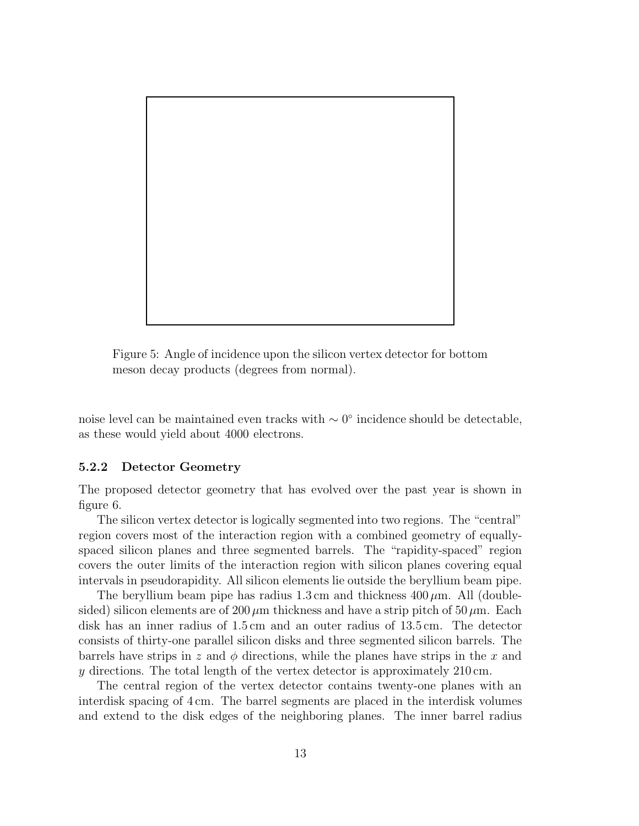

Figure 5: Angle of incidence upon the silicon vertex detector for bottom meson decay products (degrees from normal).

noise level can be maintained even tracks with ∼ 0◦ incidence should be detectable, as these would yield about 4000 electrons.

#### **5.2.2 Detector Geometry**

The proposed detector geometry that has evolved over the past year is shown in figure 6.

The silicon vertex detector is logically segmented into two regions. The "central" region covers most of the interaction region with a combined geometry of equallyspaced silicon planes and three segmented barrels. The "rapidity-spaced" region covers the outer limits of the interaction region with silicon planes covering equal intervals in pseudorapidity. All silicon elements lie outside the beryllium beam pipe.

The beryllium beam pipe has radius  $1.3 \text{ cm}$  and thickness  $400 \mu \text{m}$ . All (doublesided) silicon elements are of 200  $\mu$ m thickness and have a strip pitch of 50  $\mu$ m. Each disk has an inner radius of 1.5 cm and an outer radius of 13.5 cm. The detector consists of thirty-one parallel silicon disks and three segmented silicon barrels. The barrels have strips in z and  $\phi$  directions, while the planes have strips in the x and  $y$  directions. The total length of the vertex detector is approximately  $210 \text{ cm}$ .

The central region of the vertex detector contains twenty-one planes with an interdisk spacing of 4 cm. The barrel segments are placed in the interdisk volumes and extend to the disk edges of the neighboring planes. The inner barrel radius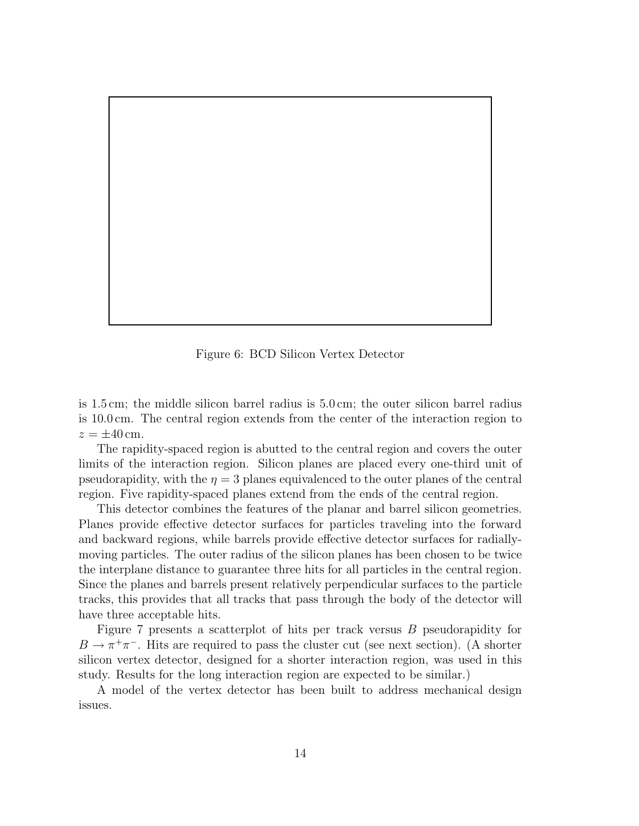Figure 6: BCD Silicon Vertex Detector

is 1.5 cm; the middle silicon barrel radius is 5.0 cm; the outer silicon barrel radius is 10.0 cm. The central region extends from the center of the interaction region to  $z = \pm 40$  cm.

The rapidity-spaced region is abutted to the central region and covers the outer limits of the interaction region. Silicon planes are placed every one-third unit of pseudorapidity, with the  $\eta = 3$  planes equivalenced to the outer planes of the central region. Five rapidity-spaced planes extend from the ends of the central region.

This detector combines the features of the planar and barrel silicon geometries. Planes provide effective detector surfaces for particles traveling into the forward and backward regions, while barrels provide effective detector surfaces for radiallymoving particles. The outer radius of the silicon planes has been chosen to be twice the interplane distance to guarantee three hits for all particles in the central region. Since the planes and barrels present relatively perpendicular surfaces to the particle tracks, this provides that all tracks that pass through the body of the detector will have three acceptable hits.

Figure 7 presents a scatterplot of hits per track versus B pseudorapidity for  $B \to \pi^+\pi^-$ . Hits are required to pass the cluster cut (see next section). (A shorter silicon vertex detector, designed for a shorter interaction region, was used in this study. Results for the long interaction region are expected to be similar.)

A model of the vertex detector has been built to address mechanical design issues.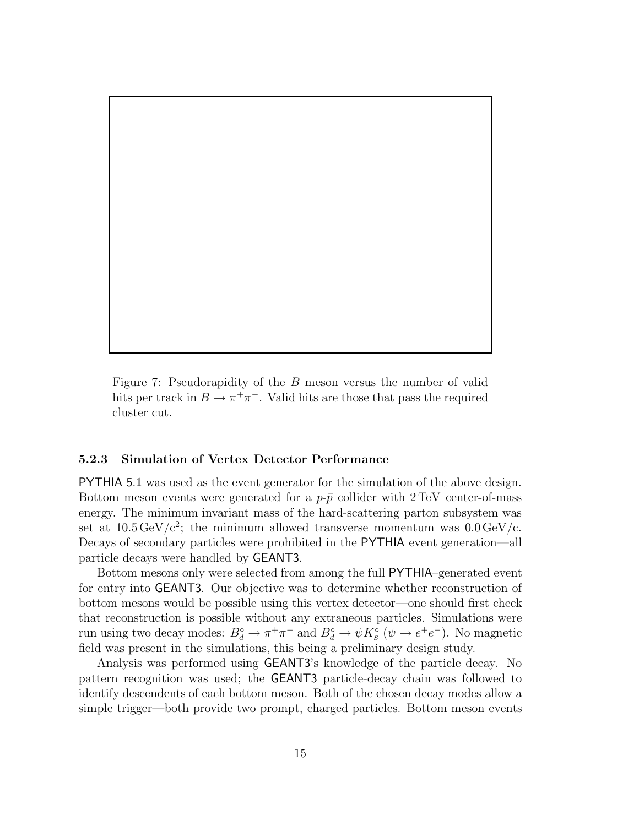Figure 7: Pseudorapidity of the B meson versus the number of valid hits per track in  $B \to \pi^+\pi^-$ . Valid hits are those that pass the required cluster cut.

#### **5.2.3 Simulation of Vertex Detector Performance**

PYTHIA 5.1 was used as the event generator for the simulation of the above design. Bottom meson events were generated for a  $p-\bar{p}$  collider with 2 TeV center-of-mass energy. The minimum invariant mass of the hard-scattering parton subsystem was set at  $10.5 \,\text{GeV}/c^2$ ; the minimum allowed transverse momentum was  $0.0 \,\text{GeV}/c$ . Decays of secondary particles were prohibited in the PYTHIA event generation—all particle decays were handled by GEANT3.

Bottom mesons only were selected from among the full PYTHIA–generated event for entry into GEANT3. Our objective was to determine whether reconstruction of bottom mesons would be possible using this vertex detector—one should first check that reconstruction is possible without any extraneous particles. Simulations were run using two decay modes:  $B_d^{\circ} \to \pi^+\pi^-$  and  $B_d^{\circ} \to \psi K_s^{\circ}$  ( $\psi \to e^+e^-$ ). No magnetic field was present in the simulations, this being a preliminary design study.

Analysis was performed using GEANT3's knowledge of the particle decay. No pattern recognition was used; the GEANT3 particle-decay chain was followed to identify descendents of each bottom meson. Both of the chosen decay modes allow a simple trigger—both provide two prompt, charged particles. Bottom meson events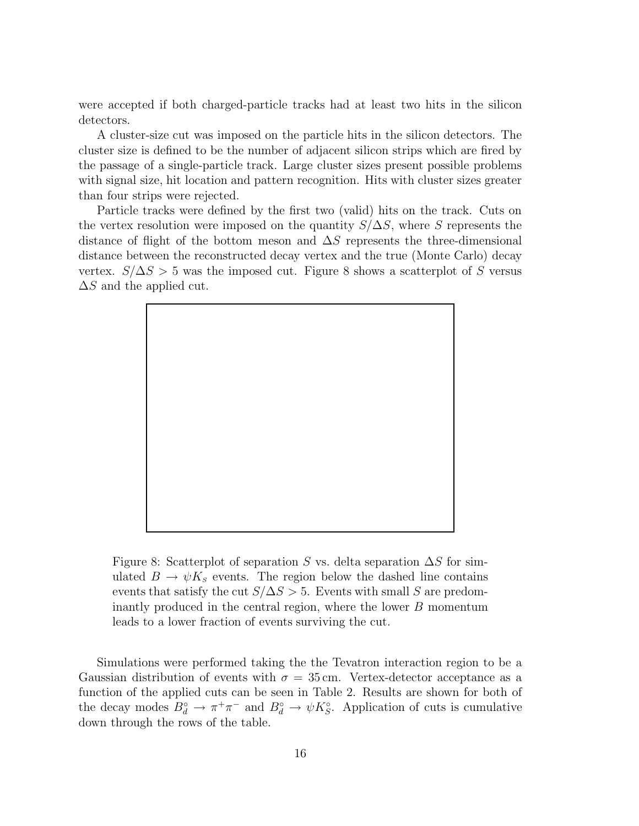were accepted if both charged-particle tracks had at least two hits in the silicon detectors.

A cluster-size cut was imposed on the particle hits in the silicon detectors. The cluster size is defined to be the number of adjacent silicon strips which are fired by the passage of a single-particle track. Large cluster sizes present possible problems with signal size, hit location and pattern recognition. Hits with cluster sizes greater than four strips were rejected.

Particle tracks were defined by the first two (valid) hits on the track. Cuts on the vertex resolution were imposed on the quantity  $S/\Delta S$ , where S represents the distance of flight of the bottom meson and  $\Delta S$  represents the three-dimensional distance between the reconstructed decay vertex and the true (Monte Carlo) decay vertex.  $S/\Delta S > 5$  was the imposed cut. Figure 8 shows a scatterplot of S versus  $\Delta S$  and the applied cut.



Figure 8: Scatterplot of separation S vs. delta separation  $\Delta S$  for simulated  $B \to \psi K_s$  events. The region below the dashed line contains events that satisfy the cut  $S/\Delta S > 5$ . Events with small S are predominantly produced in the central region, where the lower  $B$  momentum leads to a lower fraction of events surviving the cut.

Simulations were performed taking the the Tevatron interaction region to be a Gaussian distribution of events with  $\sigma = 35$  cm. Vertex-detector acceptance as a function of the applied cuts can be seen in Table 2. Results are shown for both of the decay modes  $B_d^{\circ} \to \pi^+\pi^-$  and  $B_d^{\circ} \to \psi K_S^{\circ}$ . Application of cuts is cumulative down through the rows of the table.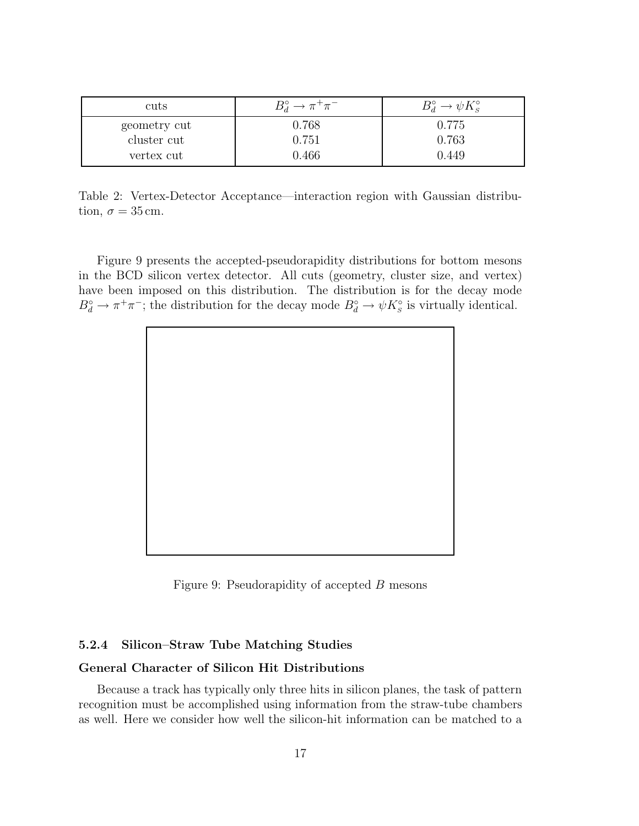| cuts         | $B_d^{\circ} \to \pi^+ \pi^-$ | $B_d^{\circ} \to \psi K_{\rm s}^{\circ}$ |
|--------------|-------------------------------|------------------------------------------|
| geometry cut | 0.768                         | 0.775                                    |
| cluster cut  | 0.751                         | 0.763                                    |
| vertex cut   | 0.466                         | 0.449                                    |

Table 2: Vertex-Detector Acceptance—interaction region with Gaussian distribution,  $\sigma = 35$  cm.

Figure 9 presents the accepted-pseudorapidity distributions for bottom mesons in the BCD silicon vertex detector. All cuts (geometry, cluster size, and vertex) have been imposed on this distribution. The distribution is for the decay mode  $B_d^{\circ} \to \pi^+ \pi^-$ ; the distribution for the decay mode  $B_d^{\circ} \to \psi K_g^{\circ}$  is virtually identical.



Figure 9: Pseudorapidity of accepted B mesons

#### **5.2.4 Silicon–Straw Tube Matching Studies**

#### **General Character of Silicon Hit Distributions**

Because a track has typically only three hits in silicon planes, the task of pattern recognition must be accomplished using information from the straw-tube chambers as well. Here we consider how well the silicon-hit information can be matched to a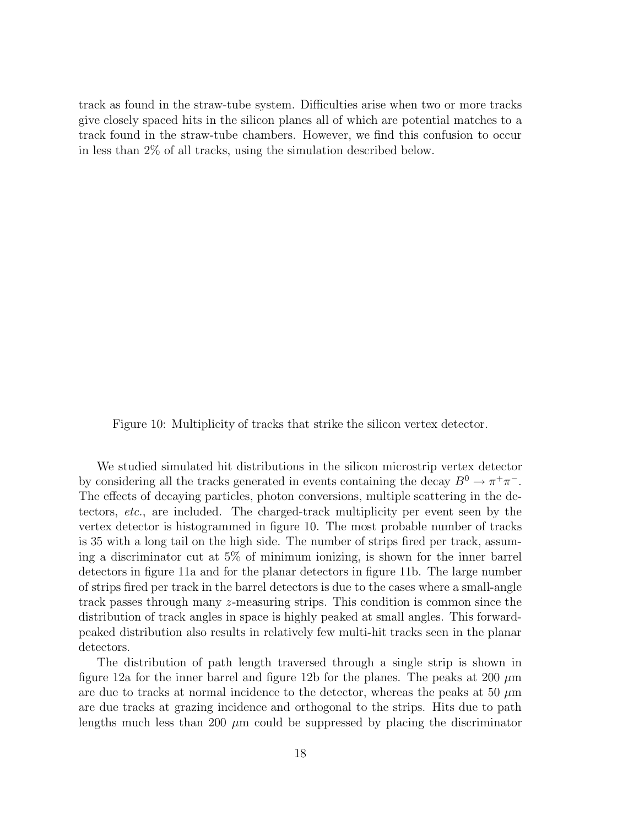track as found in the straw-tube system. Difficulties arise when two or more tracks give closely spaced hits in the silicon planes all of which are potential matches to a track found in the straw-tube chambers. However, we find this confusion to occur in less than 2% of all tracks, using the simulation described below.

Figure 10: Multiplicity of tracks that strike the silicon vertex detector.

We studied simulated hit distributions in the silicon microstrip vertex detector by considering all the tracks generated in events containing the decay  $B^0 \to \pi^+\pi^-$ . The effects of decaying particles, photon conversions, multiple scattering in the detectors, etc., are included. The charged-track multiplicity per event seen by the vertex detector is histogrammed in figure 10. The most probable number of tracks is 35 with a long tail on the high side. The number of strips fired per track, assuming a discriminator cut at 5% of minimum ionizing, is shown for the inner barrel detectors in figure 11a and for the planar detectors in figure 11b. The large number of strips fired per track in the barrel detectors is due to the cases where a small-angle track passes through many z-measuring strips. This condition is common since the distribution of track angles in space is highly peaked at small angles. This forwardpeaked distribution also results in relatively few multi-hit tracks seen in the planar detectors.

The distribution of path length traversed through a single strip is shown in figure 12a for the inner barrel and figure 12b for the planes. The peaks at 200  $\mu$ m are due to tracks at normal incidence to the detector, whereas the peaks at 50  $\mu$ m are due tracks at grazing incidence and orthogonal to the strips. Hits due to path lengths much less than 200  $\mu$ m could be suppressed by placing the discriminator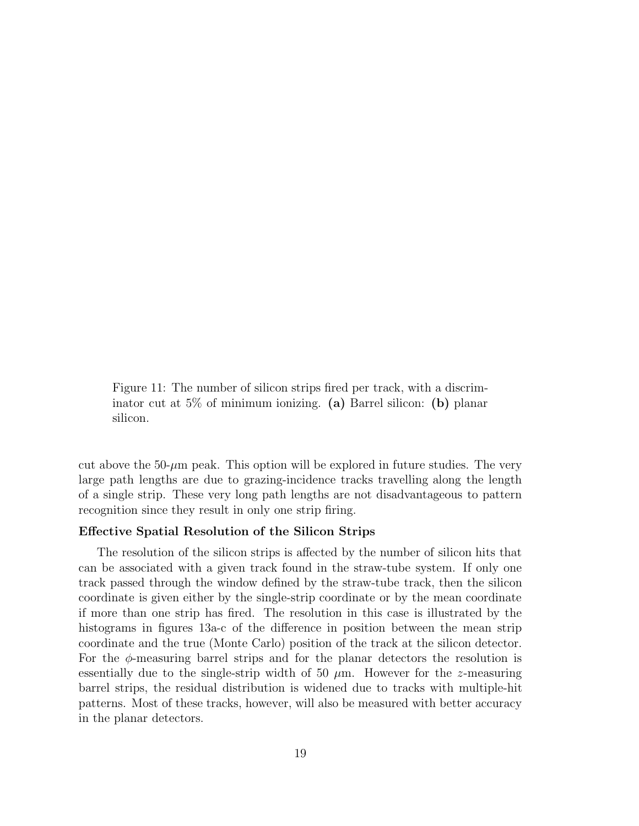Figure 11: The number of silicon strips fired per track, with a discriminator cut at 5% of minimum ionizing. **(a)** Barrel silicon: **(b)** planar silicon.

cut above the  $50-\mu m$  peak. This option will be explored in future studies. The very large path lengths are due to grazing-incidence tracks travelling along the length of a single strip. These very long path lengths are not disadvantageous to pattern recognition since they result in only one strip firing.

#### **Effective Spatial Resolution of the Silicon Strips**

The resolution of the silicon strips is affected by the number of silicon hits that can be associated with a given track found in the straw-tube system. If only one track passed through the window defined by the straw-tube track, then the silicon coordinate is given either by the single-strip coordinate or by the mean coordinate if more than one strip has fired. The resolution in this case is illustrated by the histograms in figures 13a-c of the difference in position between the mean strip coordinate and the true (Monte Carlo) position of the track at the silicon detector. For the  $\phi$ -measuring barrel strips and for the planar detectors the resolution is essentially due to the single-strip width of 50  $\mu$ m. However for the z-measuring barrel strips, the residual distribution is widened due to tracks with multiple-hit patterns. Most of these tracks, however, will also be measured with better accuracy in the planar detectors.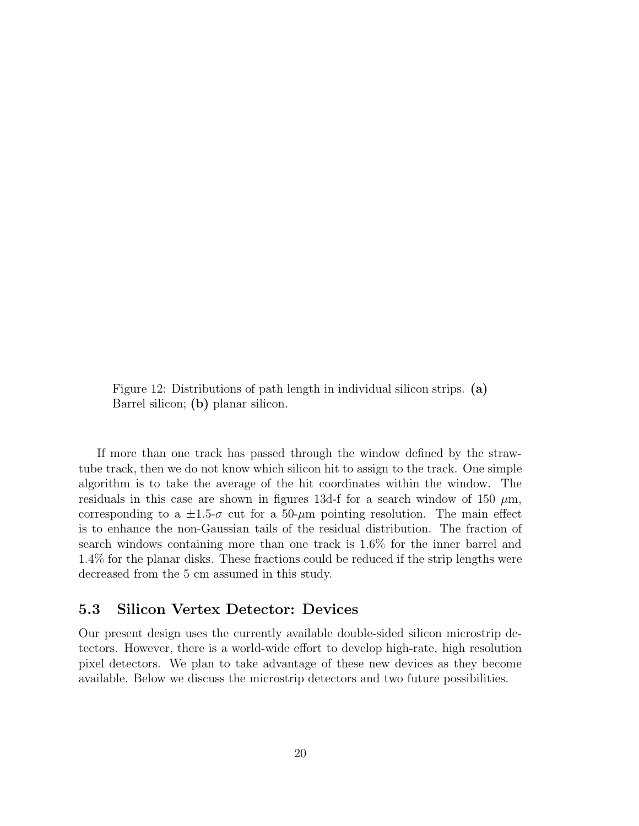Figure 12: Distributions of path length in individual silicon strips. **(a)** Barrel silicon; **(b)** planar silicon.

If more than one track has passed through the window defined by the strawtube track, then we do not know which silicon hit to assign to the track. One simple algorithm is to take the average of the hit coordinates within the window. The residuals in this case are shown in figures 13d-f for a search window of 150  $\mu$ m, corresponding to a  $\pm 1.5$ - $\sigma$  cut for a 50- $\mu$ m pointing resolution. The main effect is to enhance the non-Gaussian tails of the residual distribution. The fraction of search windows containing more than one track is 1.6% for the inner barrel and 1.4% for the planar disks. These fractions could be reduced if the strip lengths were decreased from the 5 cm assumed in this study.

### **5.3 Silicon Vertex Detector: Devices**

Our present design uses the currently available double-sided silicon microstrip detectors. However, there is a world-wide effort to develop high-rate, high resolution pixel detectors. We plan to take advantage of these new devices as they become available. Below we discuss the microstrip detectors and two future possibilities.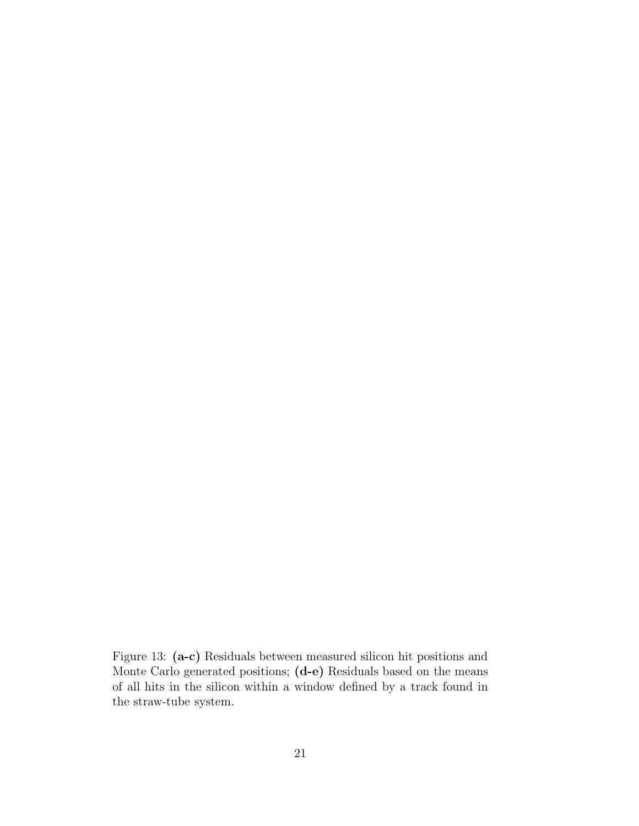Figure 13: **(a-c)** Residuals between measured silicon hit positions and Monte Carlo generated positions; **(d-e)** Residuals based on the means of all hits in the silicon within a window defined by a track found in the straw-tube system.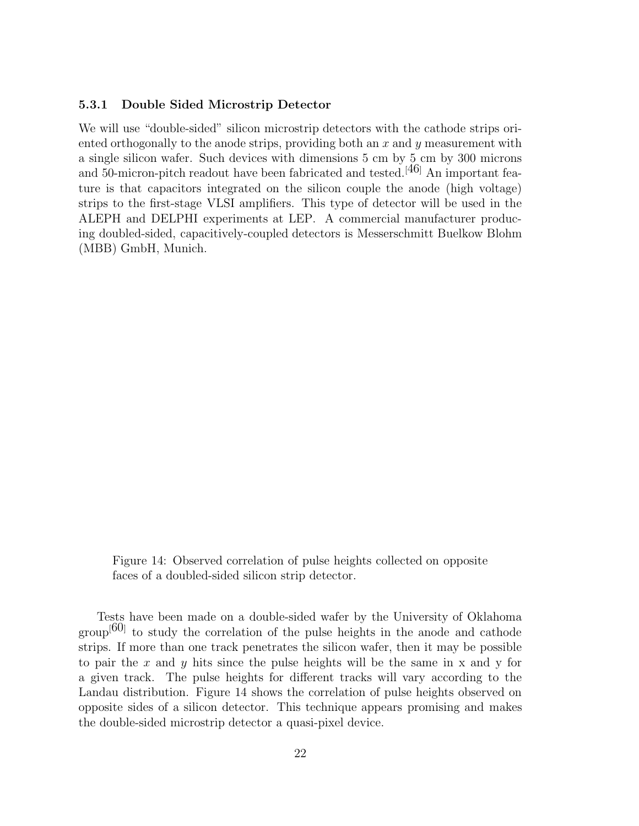#### **5.3.1 Double Sided Microstrip Detector**

We will use "double-sided" silicon microstrip detectors with the cathode strips oriented orthogonally to the anode strips, providing both an  $x$  and  $y$  measurement with a single silicon wafer. Such devices with dimensions 5 cm by 5 cm by 300 microns and 50-micron-pitch readout have been fabricated and tested.<sup>[46]</sup> An important feature is that capacitors integrated on the silicon couple the anode (high voltage) strips to the first-stage VLSI amplifiers. This type of detector will be used in the ALEPH and DELPHI experiments at LEP. A commercial manufacturer producing doubled-sided, capacitively-coupled detectors is Messerschmitt Buelkow Blohm (MBB) GmbH, Munich.

Figure 14: Observed correlation of pulse heights collected on opposite faces of a doubled-sided silicon strip detector.

Tests have been made on a double-sided wafer by the University of Oklahoma  $\text{group}^{[60]}$  to study the correlation of the pulse heights in the anode and cathode strips. If more than one track penetrates the silicon wafer, then it may be possible to pair the x and  $\gamma$  hits since the pulse heights will be the same in x and  $\gamma$  for a given track. The pulse heights for different tracks will vary according to the Landau distribution. Figure 14 shows the correlation of pulse heights observed on opposite sides of a silicon detector. This technique appears promising and makes the double-sided microstrip detector a quasi-pixel device.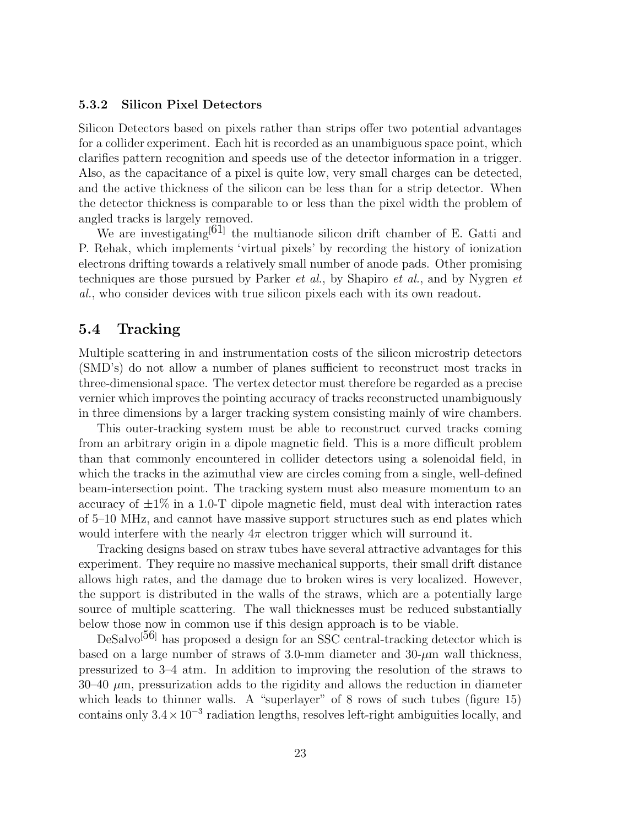#### **5.3.2 Silicon Pixel Detectors**

Silicon Detectors based on pixels rather than strips offer two potential advantages for a collider experiment. Each hit is recorded as an unambiguous space point, which clarifies pattern recognition and speeds use of the detector information in a trigger. Also, as the capacitance of a pixel is quite low, very small charges can be detected, and the active thickness of the silicon can be less than for a strip detector. When the detector thickness is comparable to or less than the pixel width the problem of angled tracks is largely removed.

We are investigating<sup>[61]</sup> the multianode silicon drift chamber of E. Gatti and P. Rehak, which implements 'virtual pixels' by recording the history of ionization electrons drifting towards a relatively small number of anode pads. Other promising techniques are those pursued by Parker et al., by Shapiro et al., and by Nygren et al., who consider devices with true silicon pixels each with its own readout.

## **5.4 Tracking**

Multiple scattering in and instrumentation costs of the silicon microstrip detectors (SMD's) do not allow a number of planes sufficient to reconstruct most tracks in three-dimensional space. The vertex detector must therefore be regarded as a precise vernier which improves the pointing accuracy of tracks reconstructed unambiguously in three dimensions by a larger tracking system consisting mainly of wire chambers.

This outer-tracking system must be able to reconstruct curved tracks coming from an arbitrary origin in a dipole magnetic field. This is a more difficult problem than that commonly encountered in collider detectors using a solenoidal field, in which the tracks in the azimuthal view are circles coming from a single, well-defined beam-intersection point. The tracking system must also measure momentum to an accuracy of  $\pm 1\%$  in a 1.0-T dipole magnetic field, must deal with interaction rates of 5–10 MHz, and cannot have massive support structures such as end plates which would interfere with the nearly  $4\pi$  electron trigger which will surround it.

Tracking designs based on straw tubes have several attractive advantages for this experiment. They require no massive mechanical supports, their small drift distance allows high rates, and the damage due to broken wires is very localized. However, the support is distributed in the walls of the straws, which are a potentially large source of multiple scattering. The wall thicknesses must be reduced substantially below those now in common use if this design approach is to be viable.

DeSalvo<sup>[56]</sup> has proposed a design for an SSC central-tracking detector which is based on a large number of straws of 3.0-mm diameter and  $30$ - $\mu$ m wall thickness, pressurized to 3–4 atm. In addition to improving the resolution of the straws to  $30-40 \mu$ m, pressurization adds to the rigidity and allows the reduction in diameter which leads to thinner walls. A "superlayer" of 8 rows of such tubes (figure 15) contains only  $3.4 \times 10^{-3}$  radiation lengths, resolves left-right ambiguities locally, and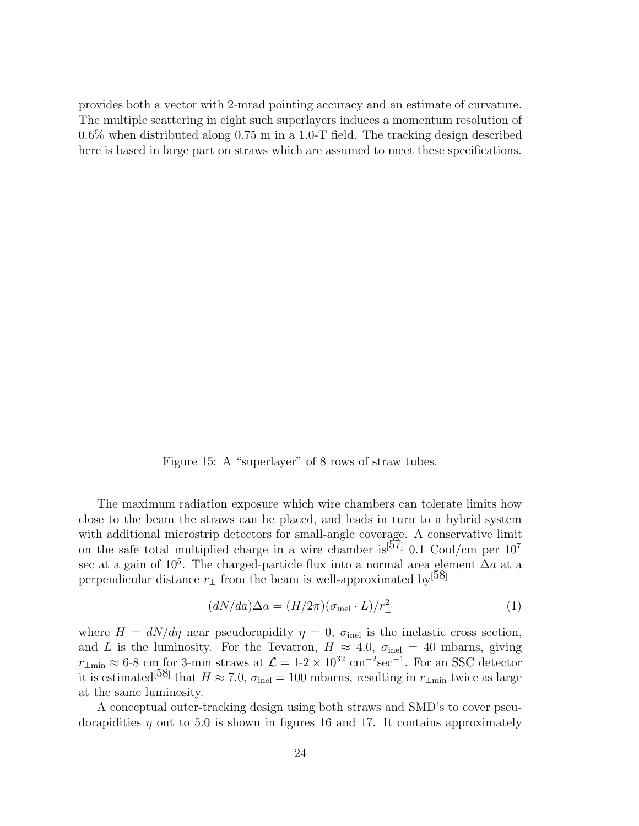provides both a vector with 2-mrad pointing accuracy and an estimate of curvature. The multiple scattering in eight such superlayers induces a momentum resolution of 0.6% when distributed along 0.75 m in a 1.0-T field. The tracking design described here is based in large part on straws which are assumed to meet these specifications.

Figure 15: A "superlayer" of 8 rows of straw tubes.

The maximum radiation exposure which wire chambers can tolerate limits how close to the beam the straws can be placed, and leads in turn to a hybrid system with additional microstrip detectors for small-angle coverage. A conservative limit on the safe total multiplied charge in a wire chamber is<sup>[57]</sup> 0.1 Coul/cm per  $10^7$ sec at a gain of  $10^5$ . The charged-particle flux into a normal area element  $\Delta a$  at a perpendicular distance  $r_{\perp}$  from the beam is well-approximated by<sup>[58]</sup>

$$
(dN/da)\Delta a = (H/2\pi)(\sigma_{\text{inel}} \cdot L)/r_{\perp}^2 \tag{1}
$$

where  $H = dN/d\eta$  near pseudorapidity  $\eta = 0$ ,  $\sigma_{\text{inel}}$  is the inelastic cross section, and L is the luminosity. For the Tevatron,  $H \approx 4.0$ ,  $\sigma_{\text{inel}} = 40$  mbarns, giving  $r_{\perp \text{min}} \approx 6\text{-}8 \text{ cm}$  for 3-mm straws at  $\mathcal{L} = 1\text{-}2 \times 10^{32} \text{ cm}^{-2}\text{sec}^{-1}$ . For an SSC detector it is estimated<sup>[58]</sup> that  $H \approx 7.0$ ,  $\sigma_{\text{inel}} = 100$  mbarns, resulting in  $r_{\perp \text{min}}$  twice as large at the same luminosity.

A conceptual outer-tracking design using both straws and SMD's to cover pseudorapidities  $\eta$  out to 5.0 is shown in figures 16 and 17. It contains approximately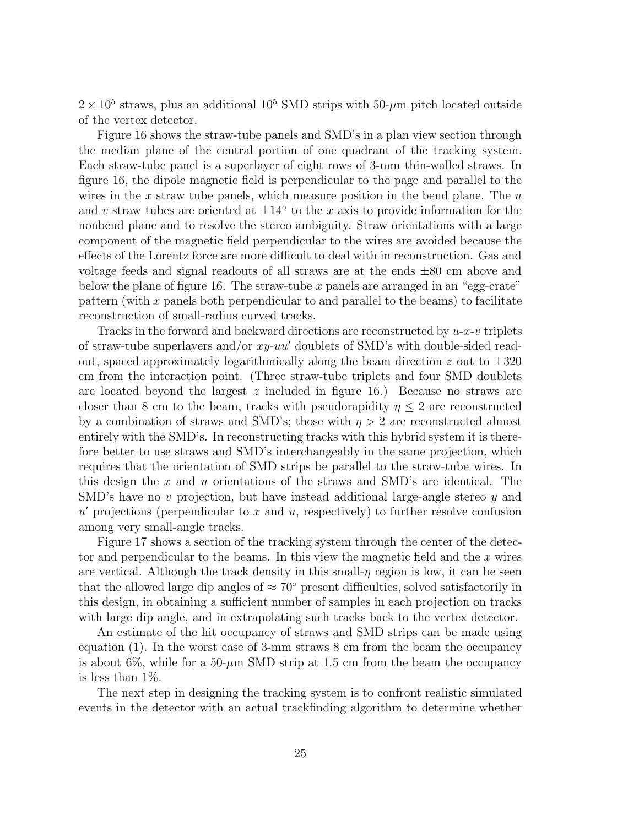$2 \times 10^5$  straws, plus an additional 10<sup>5</sup> SMD strips with 50- $\mu$ m pitch located outside of the vertex detector.

Figure 16 shows the straw-tube panels and SMD's in a plan view section through the median plane of the central portion of one quadrant of the tracking system. Each straw-tube panel is a superlayer of eight rows of 3-mm thin-walled straws. In figure 16, the dipole magnetic field is perpendicular to the page and parallel to the wires in the  $x$  straw tube panels, which measure position in the bend plane. The  $u$ and v straw tubes are oriented at  $\pm 14^\circ$  to the x axis to provide information for the nonbend plane and to resolve the stereo ambiguity. Straw orientations with a large component of the magnetic field perpendicular to the wires are avoided because the effects of the Lorentz force are more difficult to deal with in reconstruction. Gas and voltage feeds and signal readouts of all straws are at the ends ±80 cm above and below the plane of figure 16. The straw-tube  $x$  panels are arranged in an "egg-crate" pattern (with x panels both perpendicular to and parallel to the beams) to facilitate reconstruction of small-radius curved tracks.

Tracks in the forward and backward directions are reconstructed by  $u-x-v$  triplets of straw-tube superlayers and/or  $xy$ -uu' doublets of SMD's with double-sided readout, spaced approximately logarithmically along the beam direction z out to  $\pm 320$ cm from the interaction point. (Three straw-tube triplets and four SMD doublets are located beyond the largest  $z$  included in figure 16.) Because no straws are closer than 8 cm to the beam, tracks with pseudorapidity  $\eta \leq 2$  are reconstructed by a combination of straws and SMD's; those with  $\eta > 2$  are reconstructed almost entirely with the SMD's. In reconstructing tracks with this hybrid system it is therefore better to use straws and SMD's interchangeably in the same projection, which requires that the orientation of SMD strips be parallel to the straw-tube wires. In this design the  $x$  and  $u$  orientations of the straws and SMD's are identical. The SMD's have no v projection, but have instead additional large-angle stereo y and  $u'$  projections (perpendicular to  $x$  and  $u$ , respectively) to further resolve confusion among very small-angle tracks.

Figure 17 shows a section of the tracking system through the center of the detector and perpendicular to the beams. In this view the magnetic field and the  $x$  wires are vertical. Although the track density in this small- $\eta$  region is low, it can be seen that the allowed large dip angles of  $\approx 70^{\circ}$  present difficulties, solved satisfactorily in this design, in obtaining a sufficient number of samples in each projection on tracks with large dip angle, and in extrapolating such tracks back to the vertex detector.

An estimate of the hit occupancy of straws and SMD strips can be made using equation (1). In the worst case of 3-mm straws 8 cm from the beam the occupancy is about 6\%, while for a 50- $\mu$ m SMD strip at 1.5 cm from the beam the occupancy is less than  $1\%$ .

The next step in designing the tracking system is to confront realistic simulated events in the detector with an actual trackfinding algorithm to determine whether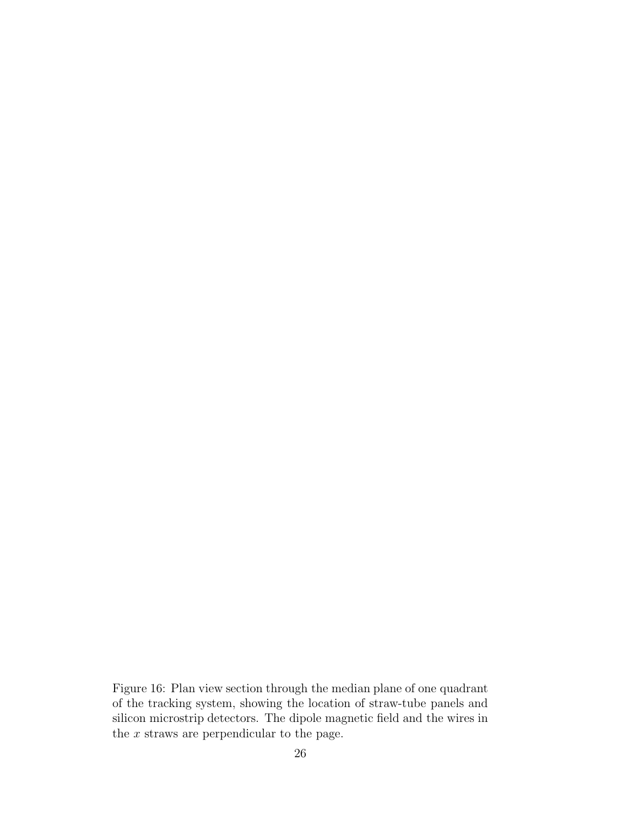Figure 16: Plan view section through the median plane of one quadrant of the tracking system, showing the location of straw-tube panels and silicon microstrip detectors. The dipole magnetic field and the wires in the  $x$  straws are perpendicular to the page.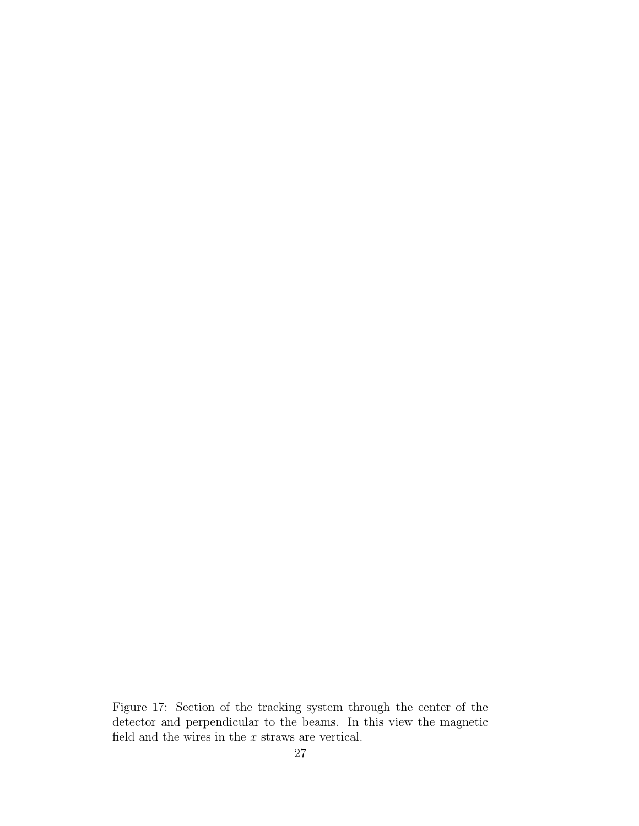Figure 17: Section of the tracking system through the center of the detector and perpendicular to the beams. In this view the magnetic field and the wires in the  $\boldsymbol{x}$  straws are vertical.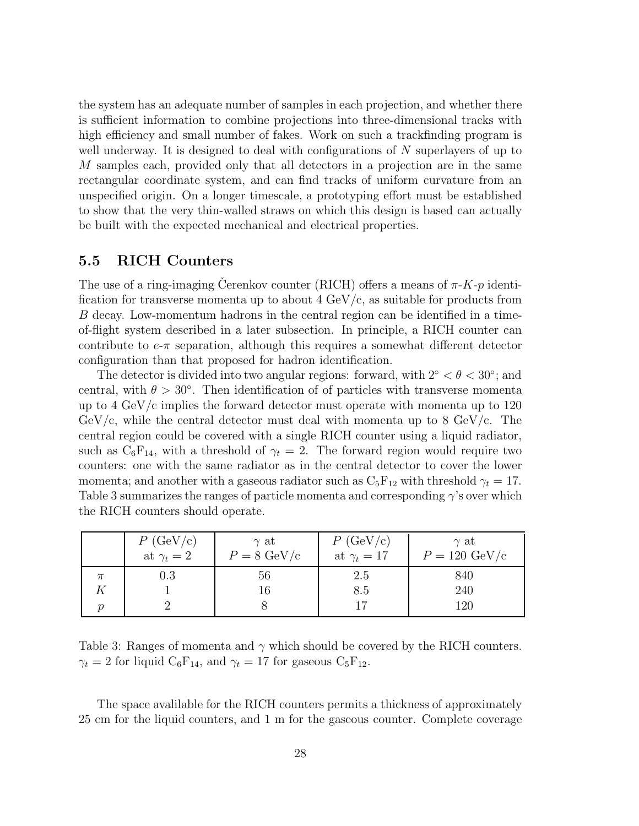the system has an adequate number of samples in each projection, and whether there is sufficient information to combine projections into three-dimensional tracks with high efficiency and small number of fakes. Work on such a trackfinding program is well underway. It is designed to deal with configurations of  $N$  superlayers of up to M samples each, provided only that all detectors in a projection are in the same rectangular coordinate system, and can find tracks of uniform curvature from an unspecified origin. On a longer timescale, a prototyping effort must be established to show that the very thin-walled straws on which this design is based can actually be built with the expected mechanical and electrical properties.

#### **5.5 RICH Counters**

The use of a ring-imaging Cerenkov counter (RICH) offers a means of  $\pi$ -K-p identification for transverse momenta up to about  $4 \text{ GeV/c}$ , as suitable for products from B decay. Low-momentum hadrons in the central region can be identified in a timeof-flight system described in a later subsection. In principle, a RICH counter can contribute to  $e-\pi$  separation, although this requires a somewhat different detector configuration than that proposed for hadron identification.

The detector is divided into two angular regions: forward, with  $2° < \theta < 30°$ ; and central, with  $\theta > 30^{\circ}$ . Then identification of of particles with transverse momenta up to 4 GeV/c implies the forward detector must operate with momenta up to 120  $GeV/c$ , while the central detector must deal with momenta up to 8 GeV/c. The central region could be covered with a single RICH counter using a liquid radiator, such as  $C_6F_{14}$ , with a threshold of  $\gamma_t = 2$ . The forward region would require two counters: one with the same radiator as in the central detector to cover the lower momenta; and another with a gaseous radiator such as  $C_5F_{12}$  with threshold  $\gamma_t = 17$ . Table 3 summarizes the ranges of particle momenta and corresponding  $\gamma$ 's over which the RICH counters should operate.

| P(GeV/c)<br>at $\gamma_t = 2$ | $\gamma$ at<br>$P = 8 \text{ GeV/c}$ | P(GeV/c)<br>at $\gamma_t = 17$ | $\gamma$ at<br>$P = 120 \text{ GeV/c}$ |
|-------------------------------|--------------------------------------|--------------------------------|----------------------------------------|
| $0.3\,$                       | 56                                   | 2.5                            | 840                                    |
|                               | 16                                   | 8.5                            | 240                                    |
|                               |                                      |                                | 120                                    |

Table 3: Ranges of momenta and  $\gamma$  which should be covered by the RICH counters.  $\gamma_t = 2$  for liquid  $C_6F_{14}$ , and  $\gamma_t = 17$  for gaseous  $C_5F_{12}$ .

The space avalilable for the RICH counters permits a thickness of approximately 25 cm for the liquid counters, and 1 m for the gaseous counter. Complete coverage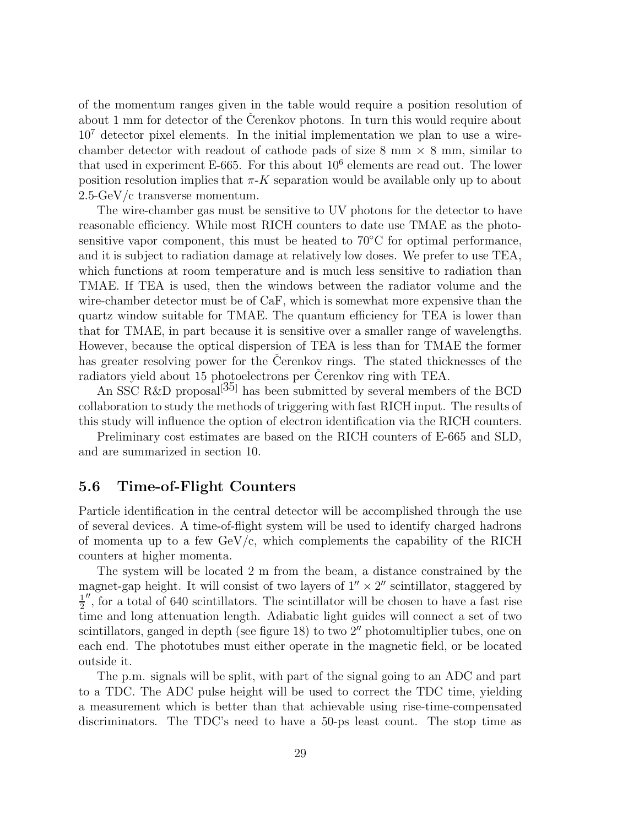of the momentum ranges given in the table would require a position resolution of about 1 mm for detector of the Cerenkov photons. In turn this would require about  $10<sup>7</sup>$  detector pixel elements. In the initial implementation we plan to use a wirechamber detector with readout of cathode pads of size  $8 \text{ mm} \times 8 \text{ mm}$ , similar to that used in experiment E-665. For this about  $10^6$  elements are read out. The lower position resolution implies that  $\pi$ -K separation would be available only up to about 2.5-GeV/c transverse momentum.

The wire-chamber gas must be sensitive to UV photons for the detector to have reasonable efficiency. While most RICH counters to date use TMAE as the photosensitive vapor component, this must be heated to  $70^{\circ}$ C for optimal performance, and it is subject to radiation damage at relatively low doses. We prefer to use TEA, which functions at room temperature and is much less sensitive to radiation than TMAE. If TEA is used, then the windows between the radiator volume and the wire-chamber detector must be of CaF, which is somewhat more expensive than the quartz window suitable for TMAE. The quantum efficiency for TEA is lower than that for TMAE, in part because it is sensitive over a smaller range of wavelengths. However, because the optical dispersion of TEA is less than for TMAE the former has greater resolving power for the Cerenkov rings. The stated thicknesses of the radiators yield about 15 photoelectrons per Čerenkov ring with TEA.

An SSC R&D proposal<sup>[35]</sup> has been submitted by several members of the BCD collaboration to study the methods of triggering with fast RICH input. The results of this study will influence the option of electron identification via the RICH counters.

Preliminary cost estimates are based on the RICH counters of E-665 and SLD, and are summarized in section 10.

### **5.6 Time-of-Flight Counters**

Particle identification in the central detector will be accomplished through the use of several devices. A time-of-flight system will be used to identify charged hadrons of momenta up to a few  $GeV/c$ , which complements the capability of the RICH counters at higher momenta.

The system will be located 2 m from the beam, a distance constrained by the magnet-gap height. It will consist of two layers of  $1'' \times 2''$  scintillator, staggered by 1 2  $\%$ , for a total of 640 scintillators. The scintillator will be chosen to have a fast rise time and long attenuation length. Adiabatic light guides will connect a set of two scintillators, ganged in depth (see figure 18) to two 2'' photomultiplier tubes, one on each end. The phototubes must either operate in the magnetic field, or be located outside it.

The p.m. signals will be split, with part of the signal going to an ADC and part to a TDC. The ADC pulse height will be used to correct the TDC time, yielding a measurement which is better than that achievable using rise-time-compensated discriminators. The TDC's need to have a 50-ps least count. The stop time as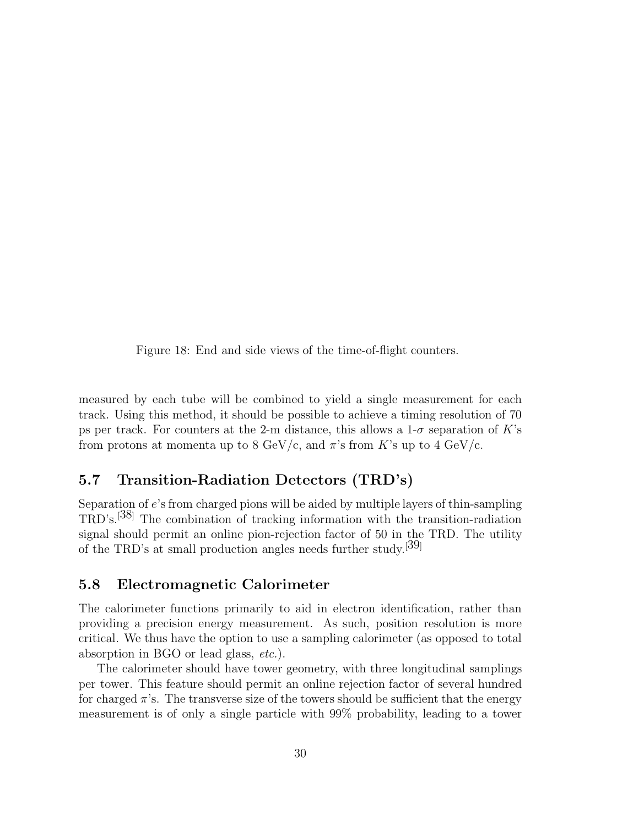Figure 18: End and side views of the time-of-flight counters.

measured by each tube will be combined to yield a single measurement for each track. Using this method, it should be possible to achieve a timing resolution of 70 ps per track. For counters at the 2-m distance, this allows a  $1-\sigma$  separation of K's from protons at momenta up to 8 GeV/c, and  $\pi$ 's from K's up to 4 GeV/c.

# **5.7 Transition-Radiation Detectors (TRD's)**

Separation of e's from charged pions will be aided by multiple layers of thin-sampling TRD's.[38] The combination of tracking information with the transition-radiation signal should permit an online pion-rejection factor of 50 in the TRD. The utility of the TRD's at small production angles needs further study.[39]

### **5.8 Electromagnetic Calorimeter**

The calorimeter functions primarily to aid in electron identification, rather than providing a precision energy measurement. As such, position resolution is more critical. We thus have the option to use a sampling calorimeter (as opposed to total absorption in BGO or lead glass, etc.).

The calorimeter should have tower geometry, with three longitudinal samplings per tower. This feature should permit an online rejection factor of several hundred for charged  $\pi$ 's. The transverse size of the towers should be sufficient that the energy measurement is of only a single particle with 99% probability, leading to a tower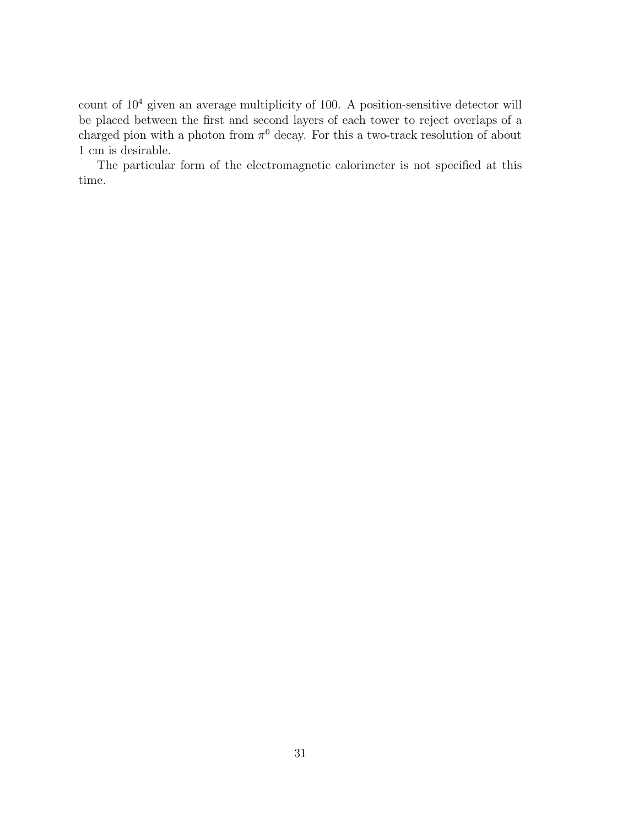count of 10<sup>4</sup> given an average multiplicity of 100. A position-sensitive detector will be placed between the first and second layers of each tower to reject overlaps of a charged pion with a photon from  $\pi^0$  decay. For this a two-track resolution of about 1 cm is desirable.

The particular form of the electromagnetic calorimeter is not specified at this time.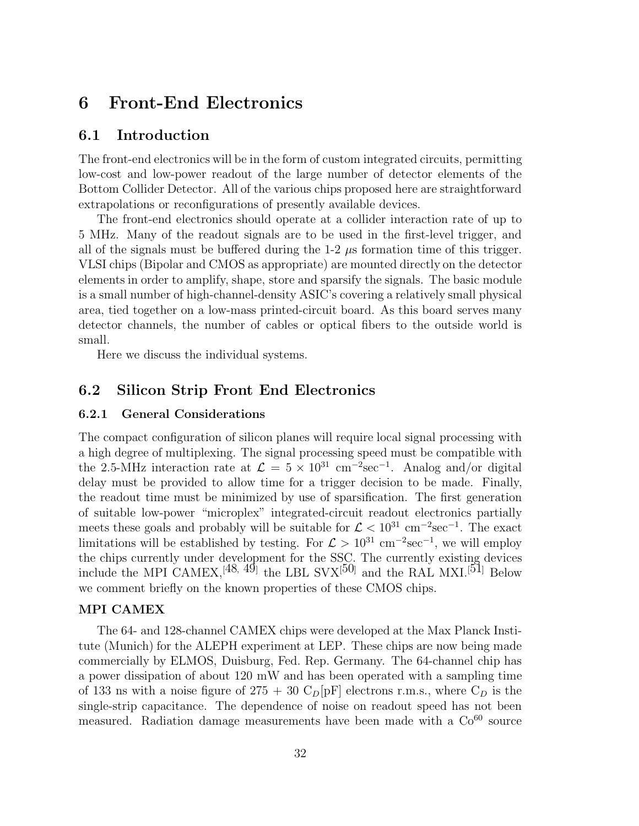# **6 Front-End Electronics**

#### **6.1 Introduction**

The front-end electronics will be in the form of custom integrated circuits, permitting low-cost and low-power readout of the large number of detector elements of the Bottom Collider Detector. All of the various chips proposed here are straightforward extrapolations or reconfigurations of presently available devices.

The front-end electronics should operate at a collider interaction rate of up to 5 MHz. Many of the readout signals are to be used in the first-level trigger, and all of the signals must be buffered during the  $1-2$   $\mu$ s formation time of this trigger. VLSI chips (Bipolar and CMOS as appropriate) are mounted directly on the detector elements in order to amplify, shape, store and sparsify the signals. The basic module is a small number of high-channel-density ASIC's covering a relatively small physical area, tied together on a low-mass printed-circuit board. As this board serves many detector channels, the number of cables or optical fibers to the outside world is small.

Here we discuss the individual systems.

### **6.2 Silicon Strip Front End Electronics**

#### **6.2.1 General Considerations**

The compact configuration of silicon planes will require local signal processing with a high degree of multiplexing. The signal processing speed must be compatible with the 2.5-MHz interaction rate at  $\mathcal{L} = 5 \times 10^{31}$  cm<sup>-2</sup>sec<sup>-1</sup>. Analog and/or digital delay must be provided to allow time for a trigger decision to be made. Finally, the readout time must be minimized by use of sparsification. The first generation of suitable low-power "microplex" integrated-circuit readout electronics partially meets these goals and probably will be suitable for  $\mathcal{L} < 10^{31}$  cm<sup>-2</sup>sec<sup>-1</sup>. The exact limitations will be established by testing. For  $\mathcal{L} > 10^{31}$  cm<sup>-2</sup>sec<sup>-1</sup>, we will employ the chips currently under development for the SSC. The currently existing devices include the MPI CAMEX,<sup>[48, 49]</sup> the LBL SVX<sup>[50]</sup> and the RAL MXI.<sup>[51]</sup> Below we comment briefly on the known properties of these CMOS chips.

#### **MPI CAMEX**

The 64- and 128-channel CAMEX chips were developed at the Max Planck Institute (Munich) for the ALEPH experiment at LEP. These chips are now being made commercially by ELMOS, Duisburg, Fed. Rep. Germany. The 64-channel chip has a power dissipation of about 120 mW and has been operated with a sampling time of 133 ns with a noise figure of  $275 + 30 \text{ C}_D[pF]$  electrons r.m.s., where  $C_D$  is the single-strip capacitance. The dependence of noise on readout speed has not been measured. Radiation damage measurements have been made with a  $Co^{60}$  source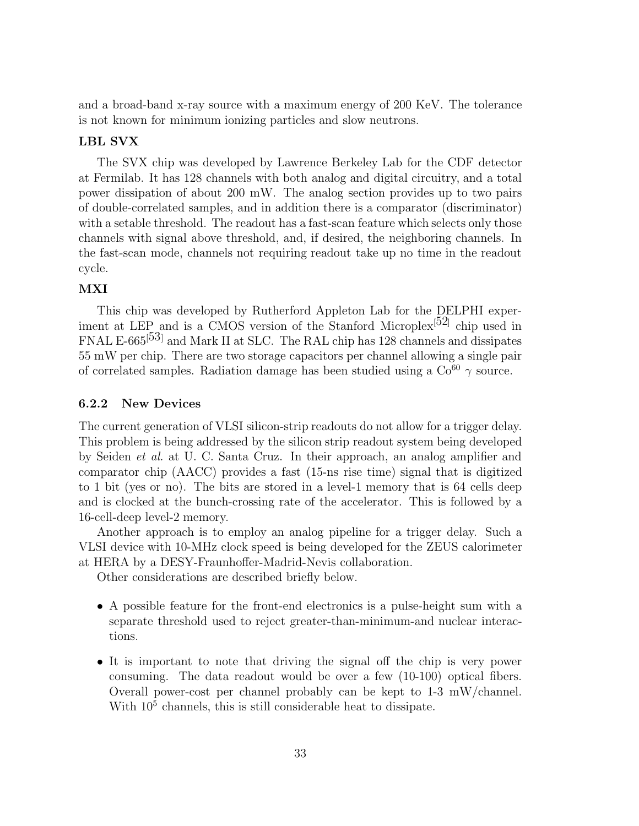and a broad-band x-ray source with a maximum energy of 200 KeV. The tolerance is not known for minimum ionizing particles and slow neutrons.

#### **LBL SVX**

The SVX chip was developed by Lawrence Berkeley Lab for the CDF detector at Fermilab. It has 128 channels with both analog and digital circuitry, and a total power dissipation of about 200 mW. The analog section provides up to two pairs of double-correlated samples, and in addition there is a comparator (discriminator) with a setable threshold. The readout has a fast-scan feature which selects only those channels with signal above threshold, and, if desired, the neighboring channels. In the fast-scan mode, channels not requiring readout take up no time in the readout cycle.

#### **MXI**

This chip was developed by Rutherford Appleton Lab for the DELPHI experiment at LEP and is a CMOS version of the Stanford Microplex<sup>[52]</sup> chip used in FNAL E-665<sup>[53]</sup> and Mark II at SLC. The RAL chip has 128 channels and dissipates 55 mW per chip. There are two storage capacitors per channel allowing a single pair of correlated samples. Radiation damage has been studied using a  $\text{Co}^{60} \gamma$  source.

#### **6.2.2 New Devices**

The current generation of VLSI silicon-strip readouts do not allow for a trigger delay. This problem is being addressed by the silicon strip readout system being developed by Seiden et al. at U. C. Santa Cruz. In their approach, an analog amplifier and comparator chip (AACC) provides a fast (15-ns rise time) signal that is digitized to 1 bit (yes or no). The bits are stored in a level-1 memory that is 64 cells deep and is clocked at the bunch-crossing rate of the accelerator. This is followed by a 16-cell-deep level-2 memory.

Another approach is to employ an analog pipeline for a trigger delay. Such a VLSI device with 10-MHz clock speed is being developed for the ZEUS calorimeter at HERA by a DESY-Fraunhoffer-Madrid-Nevis collaboration.

Other considerations are described briefly below.

- A possible feature for the front-end electronics is a pulse-height sum with a separate threshold used to reject greater-than-minimum-and nuclear interactions.
- It is important to note that driving the signal off the chip is very power consuming. The data readout would be over a few (10-100) optical fibers. Overall power-cost per channel probably can be kept to 1-3 mW/channel. With  $10<sup>5</sup>$  channels, this is still considerable heat to dissipate.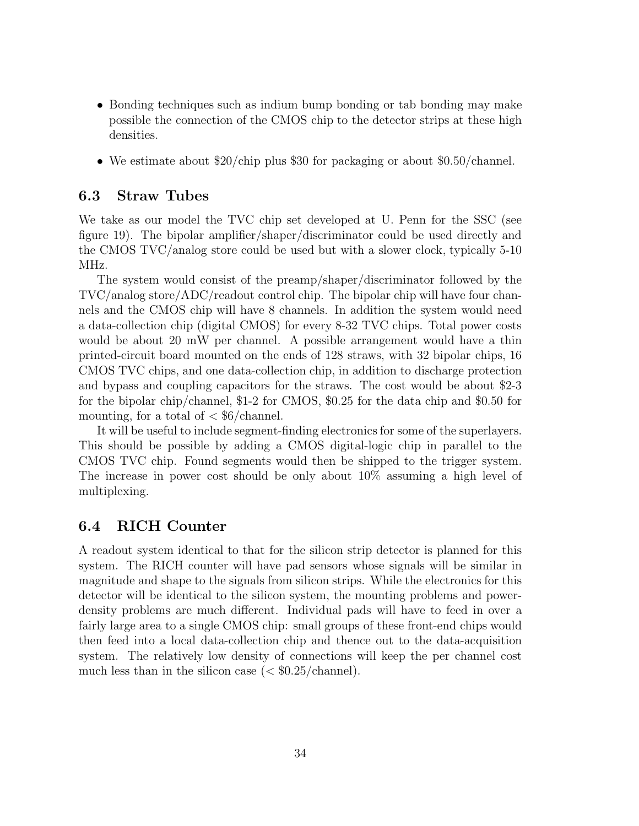- Bonding techniques such as indium bump bonding or tab bonding may make possible the connection of the CMOS chip to the detector strips at these high densities.
- We estimate about \$20/chip plus \$30 for packaging or about \$0.50/channel.

### **6.3 Straw Tubes**

We take as our model the TVC chip set developed at U. Penn for the SSC (see figure 19). The bipolar amplifier/shaper/discriminator could be used directly and the CMOS TVC/analog store could be used but with a slower clock, typically 5-10 MHz.

The system would consist of the preamp/shaper/discriminator followed by the TVC/analog store/ADC/readout control chip. The bipolar chip will have four channels and the CMOS chip will have 8 channels. In addition the system would need a data-collection chip (digital CMOS) for every 8-32 TVC chips. Total power costs would be about 20 mW per channel. A possible arrangement would have a thin printed-circuit board mounted on the ends of 128 straws, with 32 bipolar chips, 16 CMOS TVC chips, and one data-collection chip, in addition to discharge protection and bypass and coupling capacitors for the straws. The cost would be about \$2-3 for the bipolar chip/channel, \$1-2 for CMOS, \$0.25 for the data chip and \$0.50 for mounting, for a total of  $\langle \, \text{${\rm $6/ehannel}$}.$ 

It will be useful to include segment-finding electronics for some of the superlayers. This should be possible by adding a CMOS digital-logic chip in parallel to the CMOS TVC chip. Found segments would then be shipped to the trigger system. The increase in power cost should be only about 10% assuming a high level of multiplexing.

#### **6.4 RICH Counter**

A readout system identical to that for the silicon strip detector is planned for this system. The RICH counter will have pad sensors whose signals will be similar in magnitude and shape to the signals from silicon strips. While the electronics for this detector will be identical to the silicon system, the mounting problems and powerdensity problems are much different. Individual pads will have to feed in over a fairly large area to a single CMOS chip: small groups of these front-end chips would then feed into a local data-collection chip and thence out to the data-acquisition system. The relatively low density of connections will keep the per channel cost much less than in the silicon case  $\approx$  \$0.25/channel).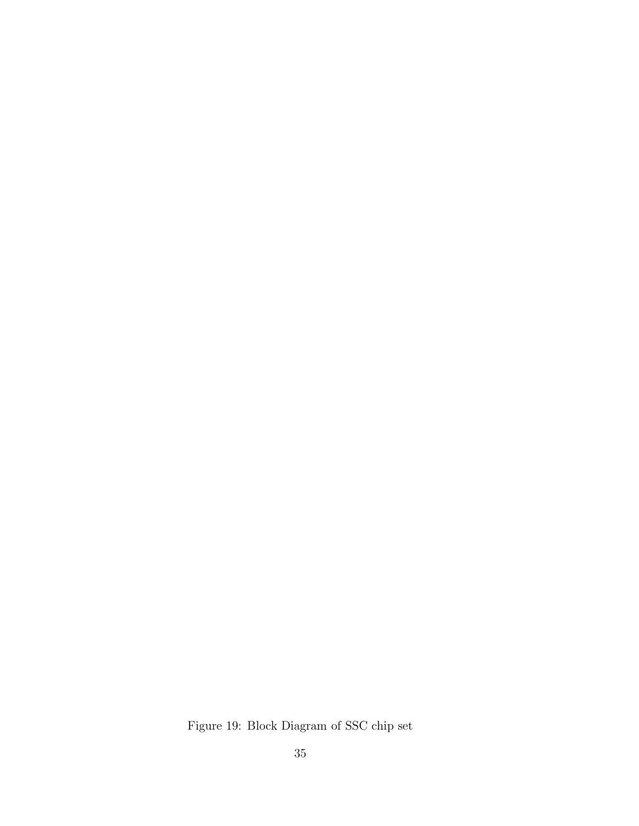Figure 19: Block Diagram of SSC chip set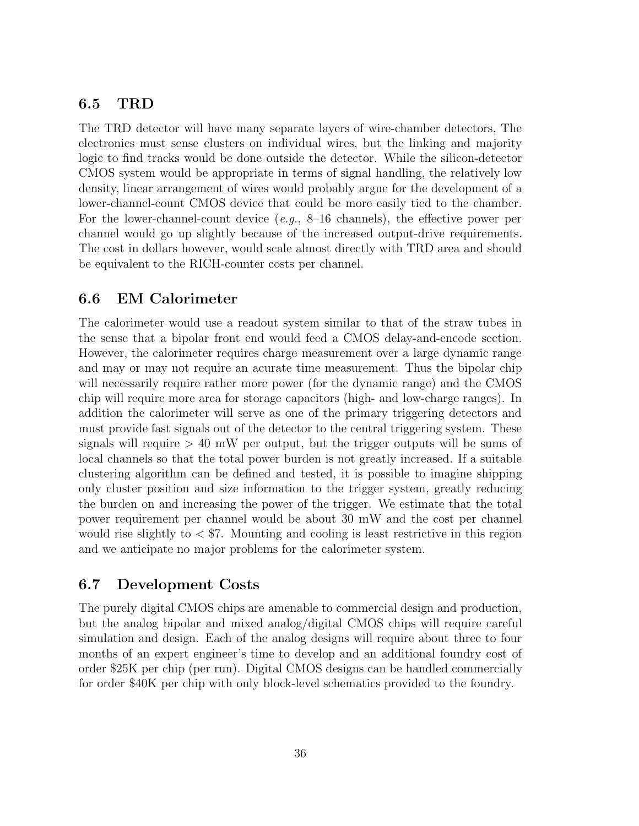## **6.5 TRD**

The TRD detector will have many separate layers of wire-chamber detectors, The electronics must sense clusters on individual wires, but the linking and majority logic to find tracks would be done outside the detector. While the silicon-detector CMOS system would be appropriate in terms of signal handling, the relatively low density, linear arrangement of wires would probably argue for the development of a lower-channel-count CMOS device that could be more easily tied to the chamber. For the lower-channel-count device  $(e.g., 8-16 \text{ channels})$ , the effective power per channel would go up slightly because of the increased output-drive requirements. The cost in dollars however, would scale almost directly with TRD area and should be equivalent to the RICH-counter costs per channel.

## **6.6 EM Calorimeter**

The calorimeter would use a readout system similar to that of the straw tubes in the sense that a bipolar front end would feed a CMOS delay-and-encode section. However, the calorimeter requires charge measurement over a large dynamic range and may or may not require an acurate time measurement. Thus the bipolar chip will necessarily require rather more power (for the dynamic range) and the CMOS chip will require more area for storage capacitors (high- and low-charge ranges). In addition the calorimeter will serve as one of the primary triggering detectors and must provide fast signals out of the detector to the central triggering system. These signals will require  $> 40$  mW per output, but the trigger outputs will be sums of local channels so that the total power burden is not greatly increased. If a suitable clustering algorithm can be defined and tested, it is possible to imagine shipping only cluster position and size information to the trigger system, greatly reducing the burden on and increasing the power of the trigger. We estimate that the total power requirement per channel would be about 30 mW and the cost per channel would rise slightly to  $\lt$  \$7. Mounting and cooling is least restrictive in this region and we anticipate no major problems for the calorimeter system.

# **6.7 Development Costs**

The purely digital CMOS chips are amenable to commercial design and production, but the analog bipolar and mixed analog/digital CMOS chips will require careful simulation and design. Each of the analog designs will require about three to four months of an expert engineer's time to develop and an additional foundry cost of order \$25K per chip (per run). Digital CMOS designs can be handled commercially for order \$40K per chip with only block-level schematics provided to the foundry.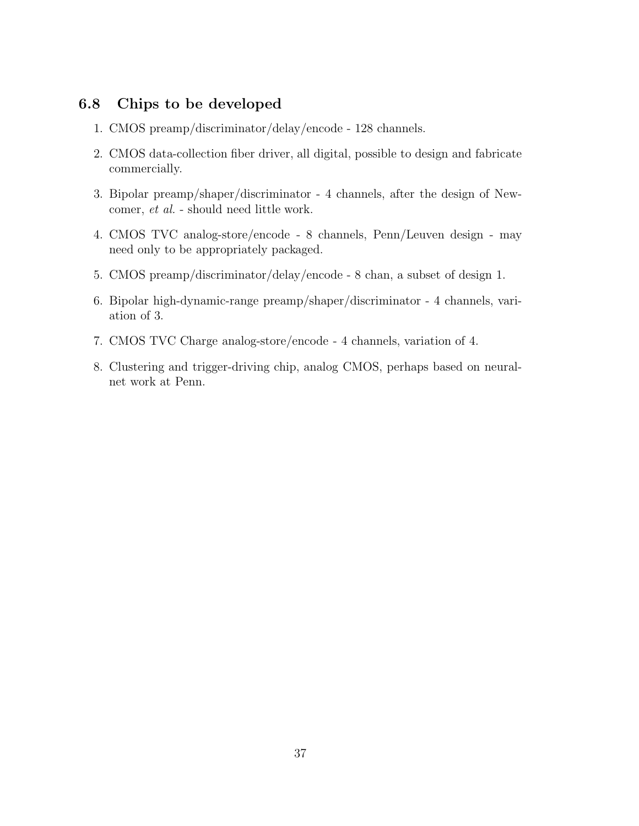# **6.8 Chips to be developed**

- 1. CMOS preamp/discriminator/delay/encode 128 channels.
- 2. CMOS data-collection fiber driver, all digital, possible to design and fabricate commercially.
- 3. Bipolar preamp/shaper/discriminator 4 channels, after the design of Newcomer, et al. - should need little work.
- 4. CMOS TVC analog-store/encode 8 channels, Penn/Leuven design may need only to be appropriately packaged.
- 5. CMOS preamp/discriminator/delay/encode 8 chan, a subset of design 1.
- 6. Bipolar high-dynamic-range preamp/shaper/discriminator 4 channels, variation of 3.
- 7. CMOS TVC Charge analog-store/encode 4 channels, variation of 4.
- 8. Clustering and trigger-driving chip, analog CMOS, perhaps based on neuralnet work at Penn.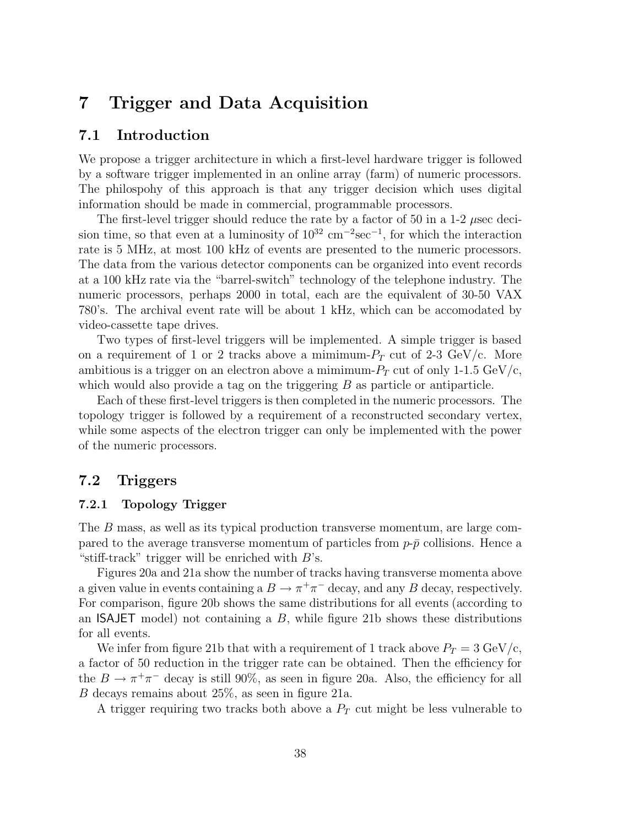# **7 Trigger and Data Acquisition**

### **7.1 Introduction**

We propose a trigger architecture in which a first-level hardware trigger is followed by a software trigger implemented in an online array (farm) of numeric processors. The philospohy of this approach is that any trigger decision which uses digital information should be made in commercial, programmable processors.

The first-level trigger should reduce the rate by a factor of 50 in a 1-2  $\mu$ sec decision time, so that even at a luminosity of  $10^{32}$  cm<sup>-2</sup>sec<sup>-1</sup>, for which the interaction rate is 5 MHz, at most 100 kHz of events are presented to the numeric processors. The data from the various detector components can be organized into event records at a 100 kHz rate via the "barrel-switch" technology of the telephone industry. The numeric processors, perhaps 2000 in total, each are the equivalent of 30-50 VAX 780's. The archival event rate will be about 1 kHz, which can be accomodated by video-cassette tape drives.

Two types of first-level triggers will be implemented. A simple trigger is based on a requirement of 1 or 2 tracks above a mimimum- $P_T$  cut of 2-3 GeV/c. More ambitious is a trigger on an electron above a mimimum- $P_T$  cut of only 1-1.5 GeV/c, which would also provide a tag on the triggering  $B$  as particle or antiparticle.

Each of these first-level triggers is then completed in the numeric processors. The topology trigger is followed by a requirement of a reconstructed secondary vertex, while some aspects of the electron trigger can only be implemented with the power of the numeric processors.

#### **7.2 Triggers**

#### **7.2.1 Topology Trigger**

The B mass, as well as its typical production transverse momentum, are large compared to the average transverse momentum of particles from  $p-\bar{p}$  collisions. Hence a "stiff-track" trigger will be enriched with  $B$ 's.

Figures 20a and 21a show the number of tracks having transverse momenta above a given value in events containing a  $B \to \pi^+\pi^-$  decay, and any B decay, respectively. For comparison, figure 20b shows the same distributions for all events (according to an ISAJET model) not containing a  $B$ , while figure 21b shows these distributions for all events.

We infer from figure 21b that with a requirement of 1 track above  $P_T = 3 \text{ GeV/c}$ , a factor of 50 reduction in the trigger rate can be obtained. Then the efficiency for the  $B \to \pi^+\pi^-$  decay is still 90%, as seen in figure 20a. Also, the efficiency for all B decays remains about 25%, as seen in figure 21a.

A trigger requiring two tracks both above a P*<sup>T</sup>* cut might be less vulnerable to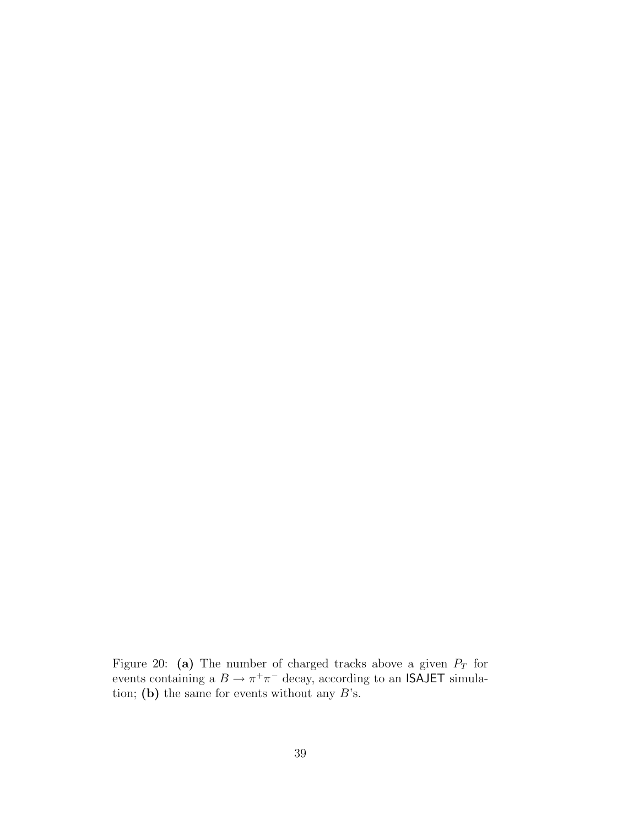Figure 20: **(a)** The number of charged tracks above a given P*<sup>T</sup>* for events containing a  $B \to \pi^+\pi^-$  decay, according to an ISAJET simulation; **(b)** the same for events without any  $B$ 's.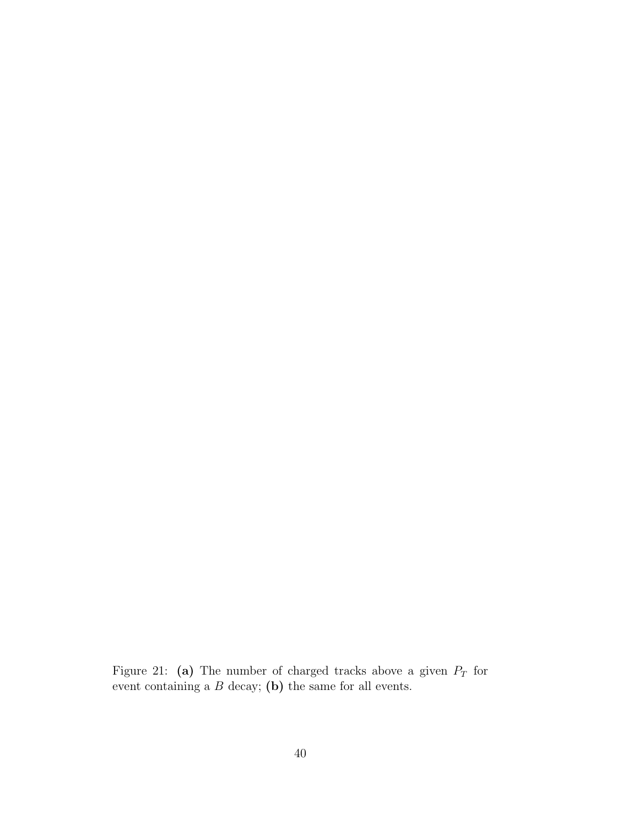Figure 21: **(a)** The number of charged tracks above a given P*<sup>T</sup>* for event containing a B decay; **(b)** the same for all events.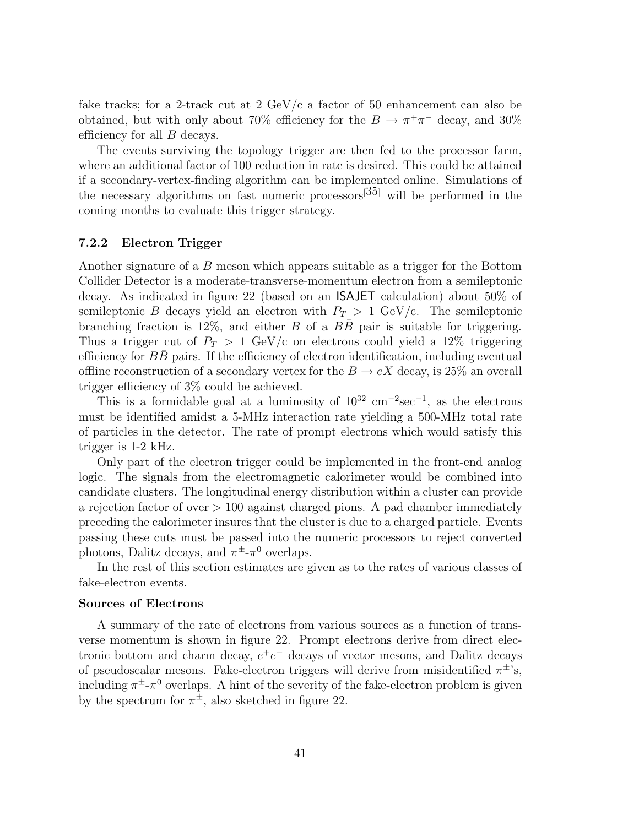fake tracks; for a 2-track cut at 2  $GeV/c$  a factor of 50 enhancement can also be obtained, but with only about 70% efficiency for the  $B \to \pi^+\pi^-$  decay, and 30% efficiency for all B decays.

The events surviving the topology trigger are then fed to the processor farm, where an additional factor of 100 reduction in rate is desired. This could be attained if a secondary-vertex-finding algorithm can be implemented online. Simulations of the necessary algorithms on fast numeric processors  $[35]$  will be performed in the coming months to evaluate this trigger strategy.

#### **7.2.2 Electron Trigger**

Another signature of a B meson which appears suitable as a trigger for the Bottom Collider Detector is a moderate-transverse-momentum electron from a semileptonic decay. As indicated in figure 22 (based on an ISAJET calculation) about 50% of semileptonic B decays yield an electron with  $P_T > 1$  GeV/c. The semileptonic branching fraction is 12%, and either B of a  $B\bar{B}$  pair is suitable for triggering. Thus a trigger cut of  $P_T > 1$  GeV/c on electrons could yield a 12% triggering efficiency for  $BB$  pairs. If the efficiency of electron identification, including eventual offline reconstruction of a secondary vertex for the  $B \to eX$  decay, is 25% an overall trigger efficiency of 3% could be achieved.

This is a formidable goal at a luminosity of  $10^{32}$  cm<sup>-2</sup>sec<sup>-1</sup>, as the electrons must be identified amidst a 5-MHz interaction rate yielding a 500-MHz total rate of particles in the detector. The rate of prompt electrons which would satisfy this trigger is 1-2 kHz.

Only part of the electron trigger could be implemented in the front-end analog logic. The signals from the electromagnetic calorimeter would be combined into candidate clusters. The longitudinal energy distribution within a cluster can provide a rejection factor of over  $> 100$  against charged pions. A pad chamber immediately preceding the calorimeter insures that the cluster is due to a charged particle. Events passing these cuts must be passed into the numeric processors to reject converted photons, Dalitz decays, and  $\pi^{\pm}$ - $\pi^{0}$  overlaps.

In the rest of this section estimates are given as to the rates of various classes of fake-electron events.

#### **Sources of Electrons**

A summary of the rate of electrons from various sources as a function of transverse momentum is shown in figure 22. Prompt electrons derive from direct electronic bottom and charm decay,  $e^+e^-$  decays of vector mesons, and Dalitz decays of pseudoscalar mesons. Fake-electron triggers will derive from misidentified  $\pi^{\pm}$ 's, including  $\pi^{\pm}$ -π<sup>0</sup> overlaps. A hint of the severity of the fake-electron problem is given by the spectrum for  $\pi^{\pm}$ , also sketched in figure 22.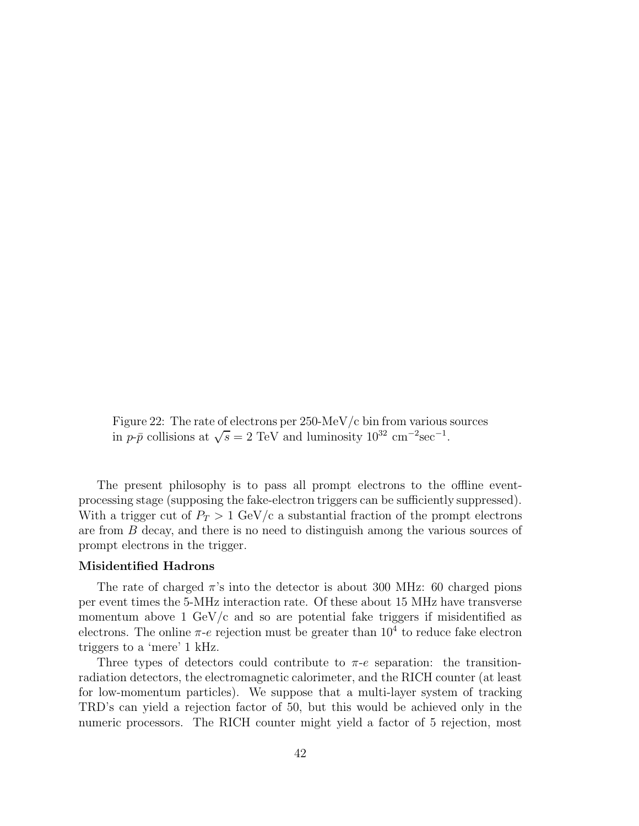Figure 22: The rate of electrons per 250-MeV/c bin from various sources in  $p-\bar{p}$  collisions at  $\sqrt{s} = 2 \text{ TeV}$  and luminosity  $10^{32} \text{ cm}^{-2}\text{sec}^{-1}$ .

The present philosophy is to pass all prompt electrons to the offline eventprocessing stage (supposing the fake-electron triggers can be sufficiently suppressed). With a trigger cut of  $P_T > 1$  GeV/c a substantial fraction of the prompt electrons are from B decay, and there is no need to distinguish among the various sources of prompt electrons in the trigger.

#### **Misidentified Hadrons**

The rate of charged  $\pi$ 's into the detector is about 300 MHz: 60 charged pions per event times the 5-MHz interaction rate. Of these about 15 MHz have transverse momentum above 1 GeV/c and so are potential fake triggers if misidentified as electrons. The online  $\pi$ -e rejection must be greater than  $10^4$  to reduce fake electron triggers to a 'mere' 1 kHz.

Three types of detectors could contribute to  $\pi$ -e separation: the transitionradiation detectors, the electromagnetic calorimeter, and the RICH counter (at least for low-momentum particles). We suppose that a multi-layer system of tracking TRD's can yield a rejection factor of 50, but this would be achieved only in the numeric processors. The RICH counter might yield a factor of 5 rejection, most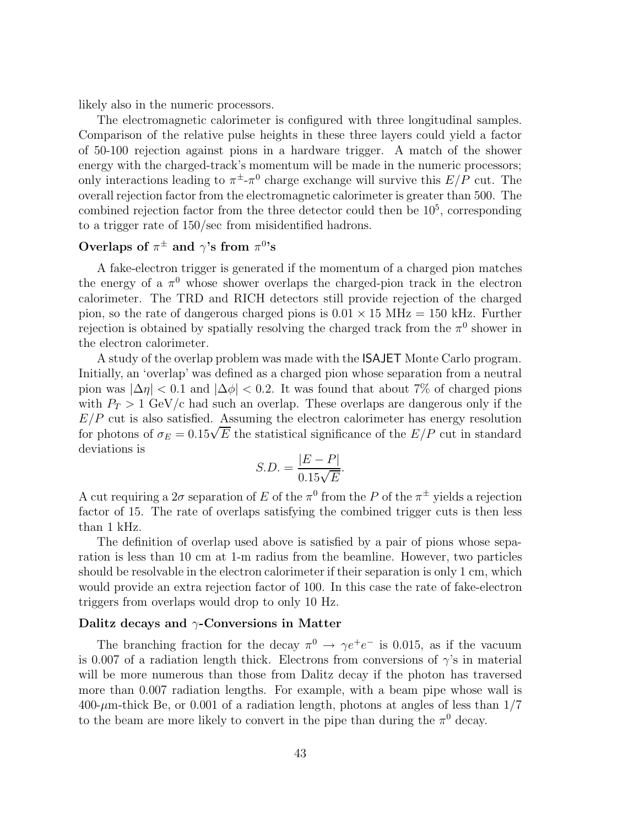likely also in the numeric processors.

The electromagnetic calorimeter is configured with three longitudinal samples. Comparison of the relative pulse heights in these three layers could yield a factor of 50-100 rejection against pions in a hardware trigger. A match of the shower energy with the charged-track's momentum will be made in the numeric processors; only interactions leading to  $\pi^{\pm} \text{-} \pi^{0}$  charge exchange will survive this  $E/P$  cut. The overall rejection factor from the electromagnetic calorimeter is greater than 500. The combined rejection factor from the three detector could then be  $10<sup>5</sup>$ , corresponding to a trigger rate of 150/sec from misidentified hadrons.

# **Overlaps of**  $\pi^{\pm}$  **and**  $\gamma$ 's from  $\pi^{0}$ 's

A fake-electron trigger is generated if the momentum of a charged pion matches the energy of a  $\pi^0$  whose shower overlaps the charged-pion track in the electron calorimeter. The TRD and RICH detectors still provide rejection of the charged pion, so the rate of dangerous charged pions is  $0.01 \times 15 \text{ MHz} = 150 \text{ kHz}$ . Further rejection is obtained by spatially resolving the charged track from the  $\pi^0$  shower in the electron calorimeter.

A study of the overlap problem was made with the ISAJET Monte Carlo program. Initially, an 'overlap' was defined as a charged pion whose separation from a neutral pion was  $|\Delta \eta| < 0.1$  and  $|\Delta \phi| < 0.2$ . It was found that about 7% of charged pions with  $P_T > 1$  GeV/c had such an overlap. These overlaps are dangerous only if the  $E/P$  cut is also satisfied. Assuming the electron calorimeter has energy resolution for photons of  $\sigma_E = 0.15\sqrt{E}$  the statistical significance of the  $E/P$  cut in standard deviations is

$$
S.D. = \frac{|E - P|}{0.15\sqrt{E}}.
$$

A cut requiring a  $2\sigma$  separation of E of the  $\pi^0$  from the P of the  $\pi^{\pm}$  yields a rejection factor of 15. The rate of overlaps satisfying the combined trigger cuts is then less than 1 kHz.

The definition of overlap used above is satisfied by a pair of pions whose separation is less than 10 cm at 1-m radius from the beamline. However, two particles should be resolvable in the electron calorimeter if their separation is only 1 cm, which would provide an extra rejection factor of 100. In this case the rate of fake-electron triggers from overlaps would drop to only 10 Hz.

#### **Dalitz decays and** γ**-Conversions in Matter**

The branching fraction for the decay  $\pi^0 \rightarrow \gamma e^+e^-$  is 0.015, as if the vacuum is 0.007 of a radiation length thick. Electrons from conversions of  $\gamma$ 's in material will be more numerous than those from Dalitz decay if the photon has traversed more than 0.007 radiation lengths. For example, with a beam pipe whose wall is  $400-\mu$ m-thick Be, or 0.001 of a radiation length, photons at angles of less than  $1/7$ to the beam are more likely to convert in the pipe than during the  $\pi^0$  decay.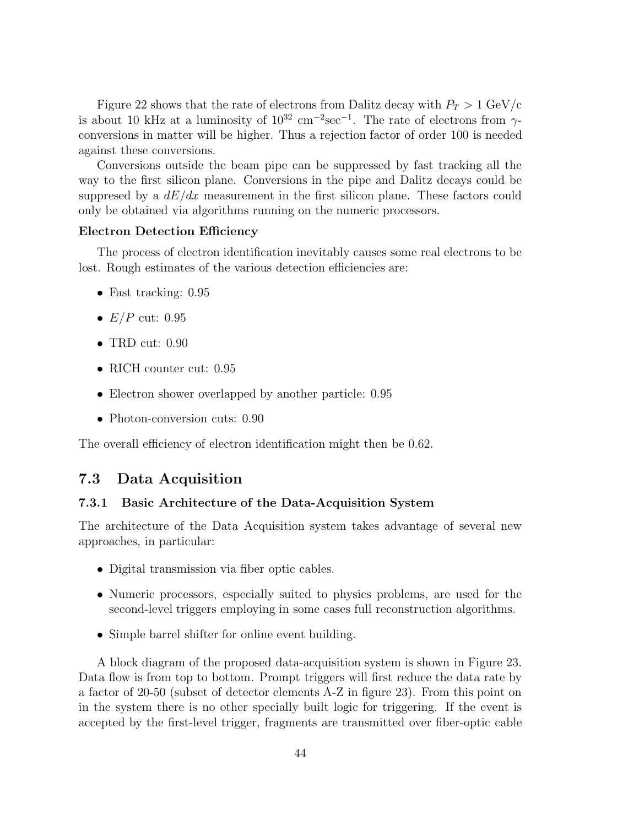Figure 22 shows that the rate of electrons from Dalitz decay with  $P_T > 1$  GeV/c is about 10 kHz at a luminosity of  $10^{32}$  cm<sup>-2</sup>sec<sup>-1</sup>. The rate of electrons from  $\gamma$ conversions in matter will be higher. Thus a rejection factor of order 100 is needed against these conversions.

Conversions outside the beam pipe can be suppressed by fast tracking all the way to the first silicon plane. Conversions in the pipe and Dalitz decays could be suppresed by a  $dE/dx$  measurement in the first silicon plane. These factors could only be obtained via algorithms running on the numeric processors.

#### **Electron Detection Efficiency**

The process of electron identification inevitably causes some real electrons to be lost. Rough estimates of the various detection efficiencies are:

- Fast tracking: 0.95
- $E/P$  cut: 0.95
- TRD cut: 0.90
- RICH counter cut: 0.95
- Electron shower overlapped by another particle: 0.95
- Photon-conversion cuts: 0.90

The overall efficiency of electron identification might then be 0.62.

#### **7.3 Data Acquisition**

#### **7.3.1 Basic Architecture of the Data-Acquisition System**

The architecture of the Data Acquisition system takes advantage of several new approaches, in particular:

- Digital transmission via fiber optic cables.
- Numeric processors, especially suited to physics problems, are used for the second-level triggers employing in some cases full reconstruction algorithms.
- Simple barrel shifter for online event building.

A block diagram of the proposed data-acquisition system is shown in Figure 23. Data flow is from top to bottom. Prompt triggers will first reduce the data rate by a factor of 20-50 (subset of detector elements A-Z in figure 23). From this point on in the system there is no other specially built logic for triggering. If the event is accepted by the first-level trigger, fragments are transmitted over fiber-optic cable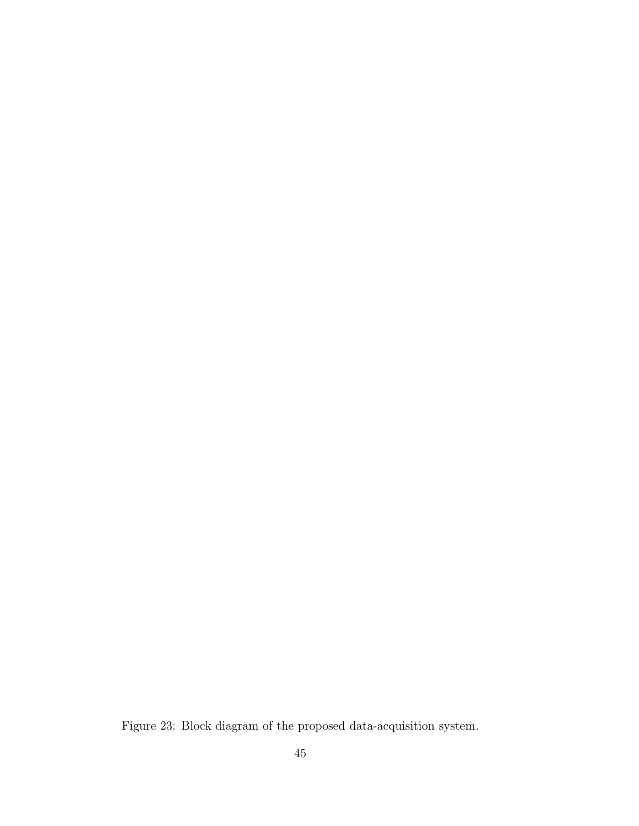Figure 23: Block diagram of the proposed data-acquisition system.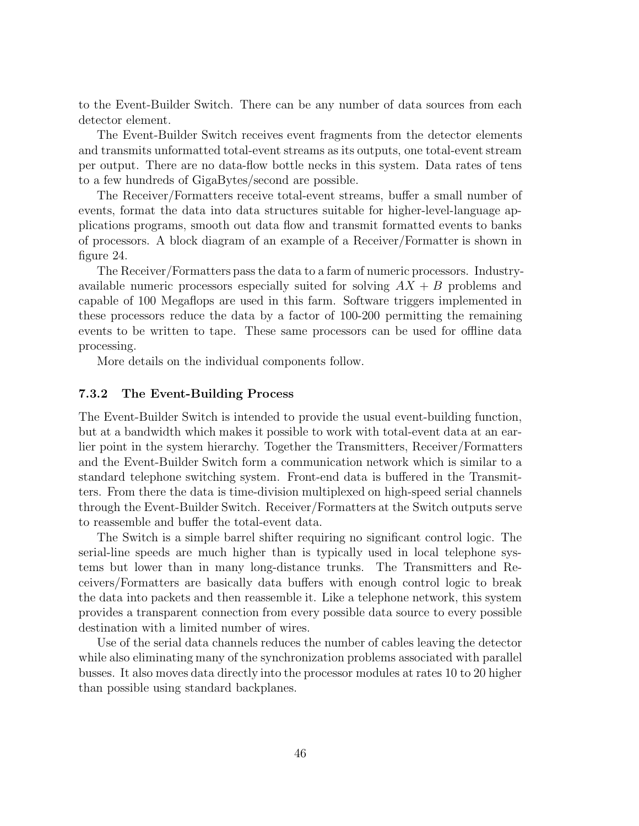to the Event-Builder Switch. There can be any number of data sources from each detector element.

The Event-Builder Switch receives event fragments from the detector elements and transmits unformatted total-event streams as its outputs, one total-event stream per output. There are no data-flow bottle necks in this system. Data rates of tens to a few hundreds of GigaBytes/second are possible.

The Receiver/Formatters receive total-event streams, buffer a small number of events, format the data into data structures suitable for higher-level-language applications programs, smooth out data flow and transmit formatted events to banks of processors. A block diagram of an example of a Receiver/Formatter is shown in figure 24.

The Receiver/Formatters pass the data to a farm of numeric processors. Industryavailable numeric processors especially suited for solving  $AX + B$  problems and capable of 100 Megaflops are used in this farm. Software triggers implemented in these processors reduce the data by a factor of 100-200 permitting the remaining events to be written to tape. These same processors can be used for offline data processing.

More details on the individual components follow.

#### **7.3.2 The Event-Building Process**

The Event-Builder Switch is intended to provide the usual event-building function, but at a bandwidth which makes it possible to work with total-event data at an earlier point in the system hierarchy. Together the Transmitters, Receiver/Formatters and the Event-Builder Switch form a communication network which is similar to a standard telephone switching system. Front-end data is buffered in the Transmitters. From there the data is time-division multiplexed on high-speed serial channels through the Event-Builder Switch. Receiver/Formatters at the Switch outputs serve to reassemble and buffer the total-event data.

The Switch is a simple barrel shifter requiring no significant control logic. The serial-line speeds are much higher than is typically used in local telephone systems but lower than in many long-distance trunks. The Transmitters and Receivers/Formatters are basically data buffers with enough control logic to break the data into packets and then reassemble it. Like a telephone network, this system provides a transparent connection from every possible data source to every possible destination with a limited number of wires.

Use of the serial data channels reduces the number of cables leaving the detector while also eliminating many of the synchronization problems associated with parallel busses. It also moves data directly into the processor modules at rates 10 to 20 higher than possible using standard backplanes.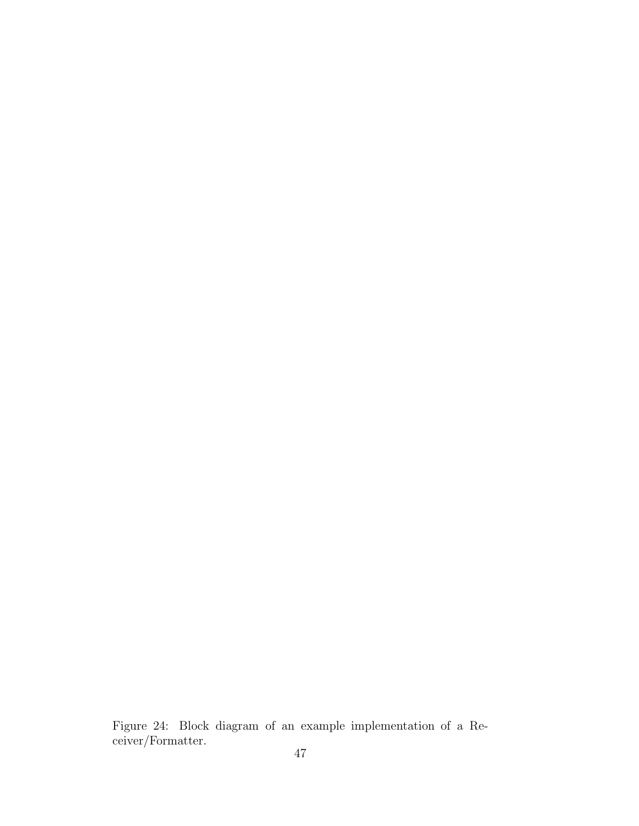Figure 24: Block diagram of an example implementation of a Receiver/Formatter.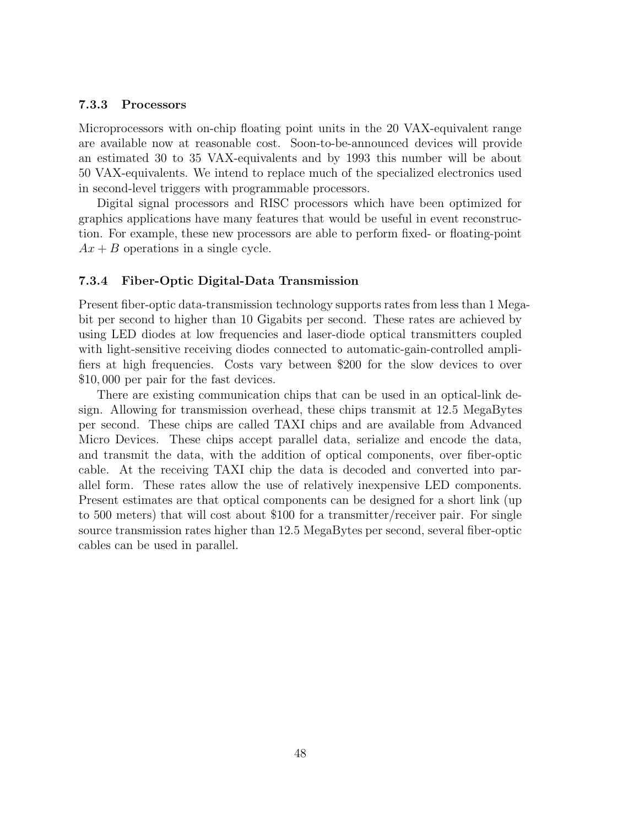#### **7.3.3 Processors**

Microprocessors with on-chip floating point units in the 20 VAX-equivalent range are available now at reasonable cost. Soon-to-be-announced devices will provide an estimated 30 to 35 VAX-equivalents and by 1993 this number will be about 50 VAX-equivalents. We intend to replace much of the specialized electronics used in second-level triggers with programmable processors.

Digital signal processors and RISC processors which have been optimized for graphics applications have many features that would be useful in event reconstruction. For example, these new processors are able to perform fixed- or floating-point  $Ax + B$  operations in a single cycle.

#### **7.3.4 Fiber-Optic Digital-Data Transmission**

Present fiber-optic data-transmission technology supports rates from less than 1 Megabit per second to higher than 10 Gigabits per second. These rates are achieved by using LED diodes at low frequencies and laser-diode optical transmitters coupled with light-sensitive receiving diodes connected to automatic-gain-controlled amplifiers at high frequencies. Costs vary between \$200 for the slow devices to over \$10, 000 per pair for the fast devices.

There are existing communication chips that can be used in an optical-link design. Allowing for transmission overhead, these chips transmit at 12.5 MegaBytes per second. These chips are called TAXI chips and are available from Advanced Micro Devices. These chips accept parallel data, serialize and encode the data, and transmit the data, with the addition of optical components, over fiber-optic cable. At the receiving TAXI chip the data is decoded and converted into parallel form. These rates allow the use of relatively inexpensive LED components. Present estimates are that optical components can be designed for a short link (up to 500 meters) that will cost about \$100 for a transmitter/receiver pair. For single source transmission rates higher than 12.5 MegaBytes per second, several fiber-optic cables can be used in parallel.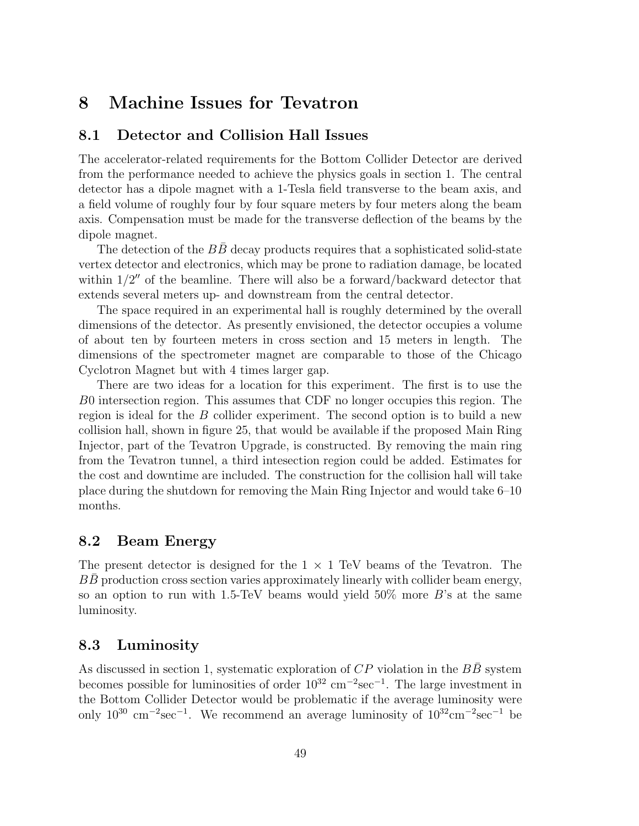# **8 Machine Issues for Tevatron**

### **8.1 Detector and Collision Hall Issues**

The accelerator-related requirements for the Bottom Collider Detector are derived from the performance needed to achieve the physics goals in section 1. The central detector has a dipole magnet with a 1-Tesla field transverse to the beam axis, and a field volume of roughly four by four square meters by four meters along the beam axis. Compensation must be made for the transverse deflection of the beams by the dipole magnet.

The detection of the  $BB$  decay products requires that a sophisticated solid-state vertex detector and electronics, which may be prone to radiation damage, be located within  $1/2''$  of the beamline. There will also be a forward/backward detector that extends several meters up- and downstream from the central detector.

The space required in an experimental hall is roughly determined by the overall dimensions of the detector. As presently envisioned, the detector occupies a volume of about ten by fourteen meters in cross section and 15 meters in length. The dimensions of the spectrometer magnet are comparable to those of the Chicago Cyclotron Magnet but with 4 times larger gap.

There are two ideas for a location for this experiment. The first is to use the B0 intersection region. This assumes that CDF no longer occupies this region. The region is ideal for the B collider experiment. The second option is to build a new collision hall, shown in figure 25, that would be available if the proposed Main Ring Injector, part of the Tevatron Upgrade, is constructed. By removing the main ring from the Tevatron tunnel, a third intesection region could be added. Estimates for the cost and downtime are included. The construction for the collision hall will take place during the shutdown for removing the Main Ring Injector and would take 6–10 months.

#### **8.2 Beam Energy**

The present detector is designed for the  $1 \times 1$  TeV beams of the Tevatron. The  $BB$  production cross section varies approximately linearly with collider beam energy, so an option to run with 1.5-TeV beams would yield  $50\%$  more B's at the same luminosity.

### **8.3 Luminosity**

As discussed in section 1, systematic exploration of  $CP$  violation in the  $B\overline{B}$  system becomes possible for luminosities of order  $10^{32}$  cm<sup>-2</sup>sec<sup>-1</sup>. The large investment in the Bottom Collider Detector would be problematic if the average luminosity were only  $10^{30}$  cm<sup>-2</sup>sec<sup>-1</sup>. We recommend an average luminosity of  $10^{32}$ cm<sup>-2</sup>sec<sup>-1</sup> be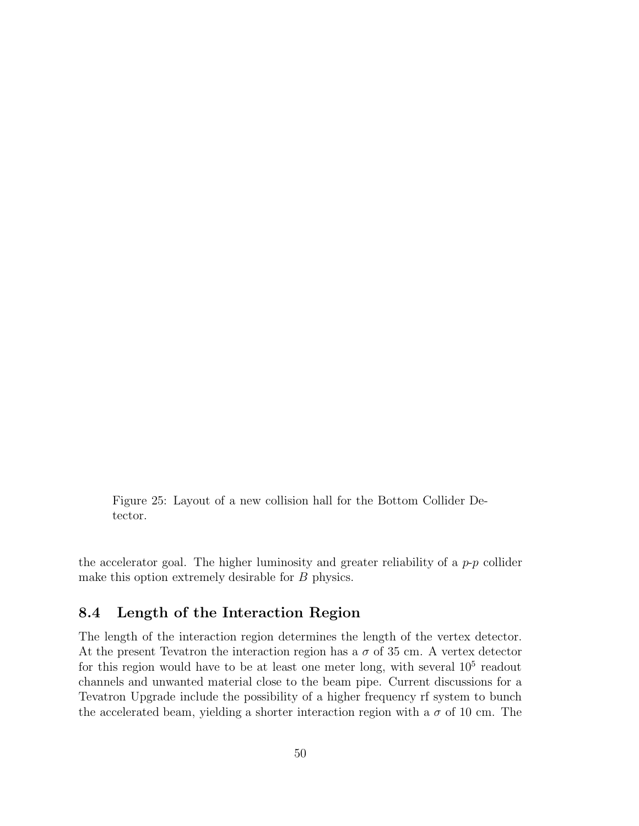Figure 25: Layout of a new collision hall for the Bottom Collider Detector.

the accelerator goal. The higher luminosity and greater reliability of a  $p-p$  collider make this option extremely desirable for B physics.

## **8.4 Length of the Interaction Region**

The length of the interaction region determines the length of the vertex detector. At the present Tevatron the interaction region has a  $\sigma$  of 35 cm. A vertex detector for this region would have to be at least one meter long, with several  $10<sup>5</sup>$  readout channels and unwanted material close to the beam pipe. Current discussions for a Tevatron Upgrade include the possibility of a higher frequency rf system to bunch the accelerated beam, yielding a shorter interaction region with a  $\sigma$  of 10 cm. The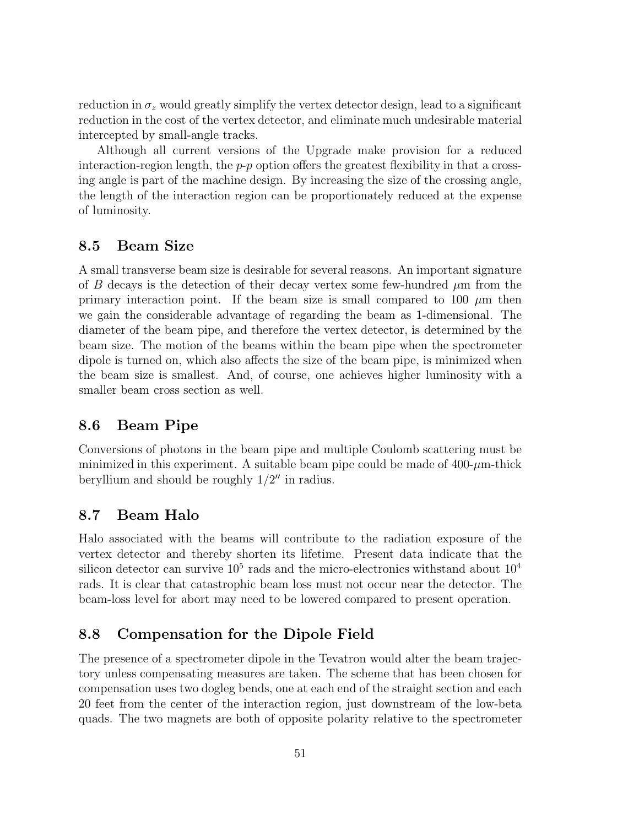reduction in  $\sigma_z$  would greatly simplify the vertex detector design, lead to a significant reduction in the cost of the vertex detector, and eliminate much undesirable material intercepted by small-angle tracks.

Although all current versions of the Upgrade make provision for a reduced interaction-region length, the  $p-p$  option offers the greatest flexibility in that a crossing angle is part of the machine design. By increasing the size of the crossing angle, the length of the interaction region can be proportionately reduced at the expense of luminosity.

# **8.5 Beam Size**

A small transverse beam size is desirable for several reasons. An important signature of B decays is the detection of their decay vertex some few-hundred  $\mu$ m from the primary interaction point. If the beam size is small compared to 100  $\mu$ m then we gain the considerable advantage of regarding the beam as 1-dimensional. The diameter of the beam pipe, and therefore the vertex detector, is determined by the beam size. The motion of the beams within the beam pipe when the spectrometer dipole is turned on, which also affects the size of the beam pipe, is minimized when the beam size is smallest. And, of course, one achieves higher luminosity with a smaller beam cross section as well.

# **8.6 Beam Pipe**

Conversions of photons in the beam pipe and multiple Coulomb scattering must be minimized in this experiment. A suitable beam pipe could be made of  $400-\mu m$ -thick beryllium and should be roughly  $1/2''$  in radius.

# **8.7 Beam Halo**

Halo associated with the beams will contribute to the radiation exposure of the vertex detector and thereby shorten its lifetime. Present data indicate that the silicon detector can survive  $10^5$  rads and the micro-electronics withstand about  $10^4$ rads. It is clear that catastrophic beam loss must not occur near the detector. The beam-loss level for abort may need to be lowered compared to present operation.

## **8.8 Compensation for the Dipole Field**

The presence of a spectrometer dipole in the Tevatron would alter the beam trajectory unless compensating measures are taken. The scheme that has been chosen for compensation uses two dogleg bends, one at each end of the straight section and each 20 feet from the center of the interaction region, just downstream of the low-beta quads. The two magnets are both of opposite polarity relative to the spectrometer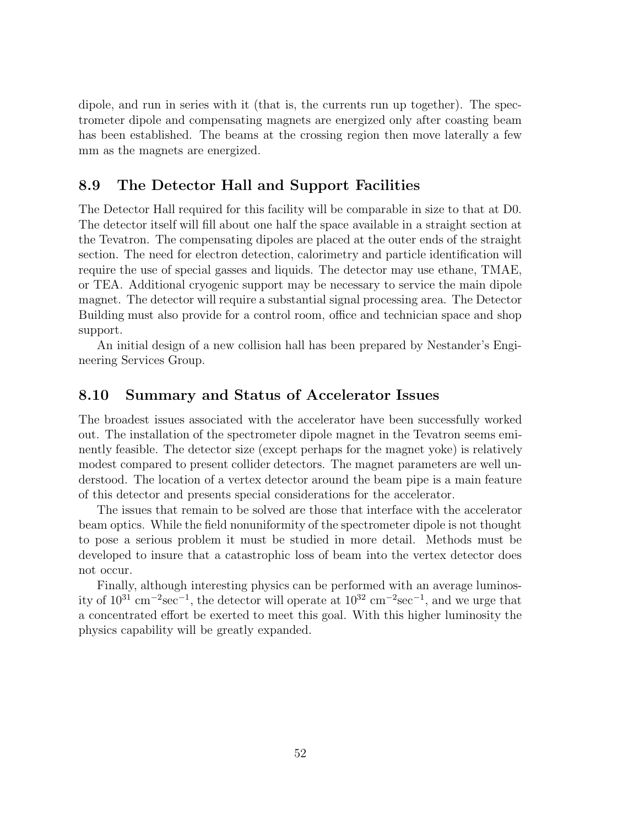dipole, and run in series with it (that is, the currents run up together). The spectrometer dipole and compensating magnets are energized only after coasting beam has been established. The beams at the crossing region then move laterally a few mm as the magnets are energized.

## **8.9 The Detector Hall and Support Facilities**

The Detector Hall required for this facility will be comparable in size to that at D0. The detector itself will fill about one half the space available in a straight section at the Tevatron. The compensating dipoles are placed at the outer ends of the straight section. The need for electron detection, calorimetry and particle identification will require the use of special gasses and liquids. The detector may use ethane, TMAE, or TEA. Additional cryogenic support may be necessary to service the main dipole magnet. The detector will require a substantial signal processing area. The Detector Building must also provide for a control room, office and technician space and shop support.

An initial design of a new collision hall has been prepared by Nestander's Engineering Services Group.

### **8.10 Summary and Status of Accelerator Issues**

The broadest issues associated with the accelerator have been successfully worked out. The installation of the spectrometer dipole magnet in the Tevatron seems eminently feasible. The detector size (except perhaps for the magnet yoke) is relatively modest compared to present collider detectors. The magnet parameters are well understood. The location of a vertex detector around the beam pipe is a main feature of this detector and presents special considerations for the accelerator.

The issues that remain to be solved are those that interface with the accelerator beam optics. While the field nonuniformity of the spectrometer dipole is not thought to pose a serious problem it must be studied in more detail. Methods must be developed to insure that a catastrophic loss of beam into the vertex detector does not occur.

Finally, although interesting physics can be performed with an average luminosity of 10<sup>31</sup> cm−<sup>2</sup>sec−<sup>1</sup>, the detector will operate at 10<sup>32</sup> cm−<sup>2</sup>sec−<sup>1</sup>, and we urge that a concentrated effort be exerted to meet this goal. With this higher luminosity the physics capability will be greatly expanded.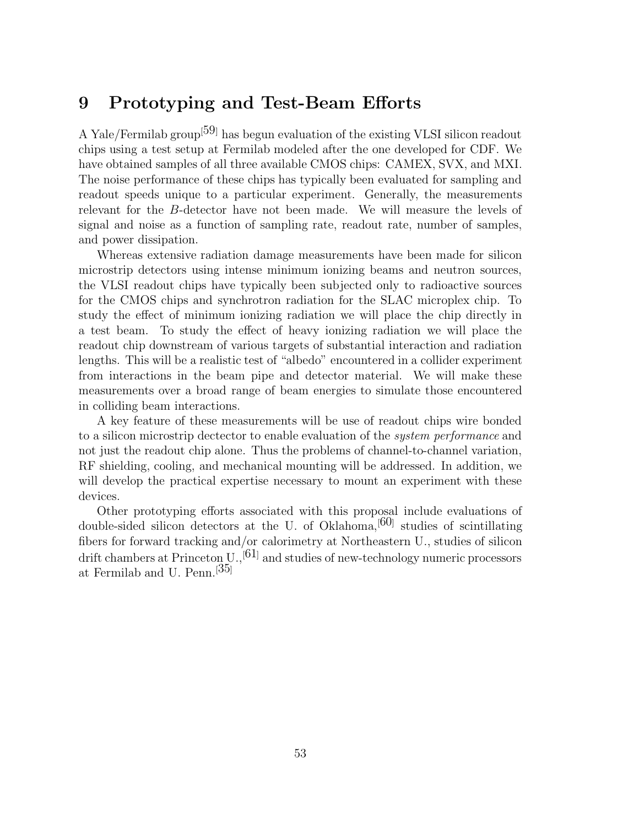# **9 Prototyping and Test-Beam Efforts**

A Yale/Fermilab group<sup>[59]</sup> has begun evaluation of the existing VLSI silicon readout chips using a test setup at Fermilab modeled after the one developed for CDF. We have obtained samples of all three available CMOS chips: CAMEX, SVX, and MXI. The noise performance of these chips has typically been evaluated for sampling and readout speeds unique to a particular experiment. Generally, the measurements relevant for the B-detector have not been made. We will measure the levels of signal and noise as a function of sampling rate, readout rate, number of samples, and power dissipation.

Whereas extensive radiation damage measurements have been made for silicon microstrip detectors using intense minimum ionizing beams and neutron sources, the VLSI readout chips have typically been subjected only to radioactive sources for the CMOS chips and synchrotron radiation for the SLAC microplex chip. To study the effect of minimum ionizing radiation we will place the chip directly in a test beam. To study the effect of heavy ionizing radiation we will place the readout chip downstream of various targets of substantial interaction and radiation lengths. This will be a realistic test of "albedo" encountered in a collider experiment from interactions in the beam pipe and detector material. We will make these measurements over a broad range of beam energies to simulate those encountered in colliding beam interactions.

A key feature of these measurements will be use of readout chips wire bonded to a silicon microstrip dectector to enable evaluation of the system performance and not just the readout chip alone. Thus the problems of channel-to-channel variation, RF shielding, cooling, and mechanical mounting will be addressed. In addition, we will develop the practical expertise necessary to mount an experiment with these devices.

Other prototyping efforts associated with this proposal include evaluations of double-sided silicon detectors at the U. of Oklahoma,  $[60]$  studies of scintillating fibers for forward tracking and/or calorimetry at Northeastern U., studies of silicon drift chambers at Princeton U.,<sup>[61]</sup> and studies of new-technology numeric processors at Fermilab and U. Penn.[35]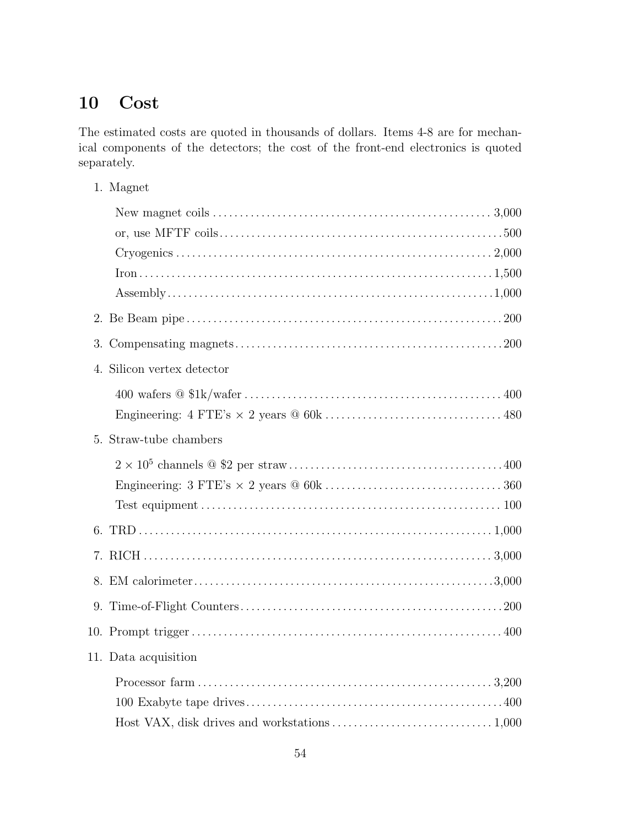# **10 Cost**

The estimated costs are quoted in thousands of dollars. Items 4-8 are for mechanical components of the detectors; the cost of the front-end electronics is quoted separately.

1. Magnet

| 4. Silicon vertex detector |
|----------------------------|
|                            |
|                            |
| 5. Straw-tube chambers     |
|                            |
|                            |
|                            |
|                            |
|                            |
|                            |
|                            |
|                            |
| 11. Data acquisition       |
|                            |
|                            |
|                            |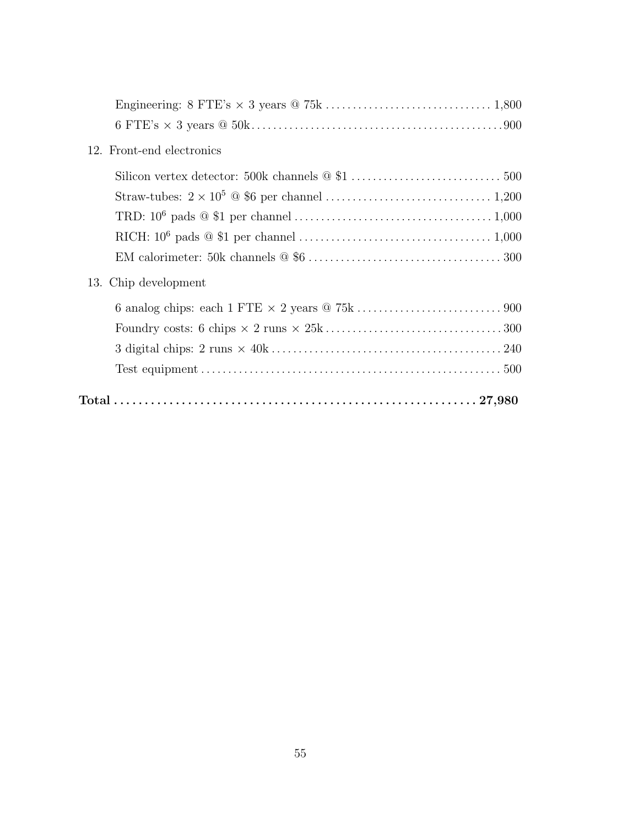| 12. Front-end electronics |
|---------------------------|
|                           |
|                           |
|                           |
|                           |
|                           |
| 13. Chip development      |
|                           |
|                           |
|                           |
|                           |
|                           |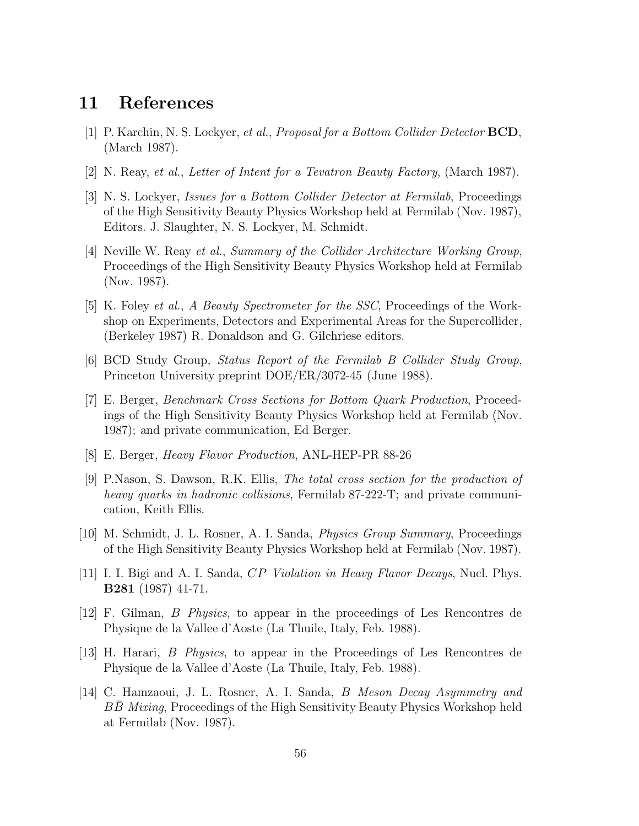# **11 References**

- [1] P. Karchin, N. S. Lockyer, et al., Proposal for a Bottom Collider Detector **BCD**, (March 1987).
- [2] N. Reay, et al., Letter of Intent for a Tevatron Beauty Factory, (March 1987).
- [3] N. S. Lockyer, Issues for a Bottom Collider Detector at Fermilab, Proceedings of the High Sensitivity Beauty Physics Workshop held at Fermilab (Nov. 1987), Editors. J. Slaughter, N. S. Lockyer, M. Schmidt.
- [4] Neville W. Reay et al., Summary of the Collider Architecture Working Group, Proceedings of the High Sensitivity Beauty Physics Workshop held at Fermilab (Nov. 1987).
- [5] K. Foley et al., A Beauty Spectrometer for the SSC, Proceedings of the Workshop on Experiments, Detectors and Experimental Areas for the Supercollider, (Berkeley 1987) R. Donaldson and G. Gilchriese editors.
- [6] BCD Study Group, Status Report of the Fermilab B Collider Study Group, Princeton University preprint DOE/ER/3072-45 (June 1988).
- [7] E. Berger, Benchmark Cross Sections for Bottom Quark Production, Proceedings of the High Sensitivity Beauty Physics Workshop held at Fermilab (Nov. 1987); and private communication, Ed Berger.
- [8] E. Berger, Heavy Flavor Production, ANL-HEP-PR 88-26
- [9] P.Nason, S. Dawson, R.K. Ellis, The total cross section for the production of heavy quarks in hadronic collisions, Fermilab 87-222-T; and private communication, Keith Ellis.
- [10] M. Schmidt, J. L. Rosner, A. I. Sanda, Physics Group Summary, Proceedings of the High Sensitivity Beauty Physics Workshop held at Fermilab (Nov. 1987).
- [11] I. I. Bigi and A. I. Sanda, CP Violation in Heavy Flavor Decays, Nucl. Phys. **B281** (1987) 41-71.
- [12] F. Gilman, B Physics, to appear in the proceedings of Les Rencontres de Physique de la Vallee d'Aoste (La Thuile, Italy, Feb. 1988).
- [13] H. Harari, B Physics, to appear in the Proceedings of Les Rencontres de Physique de la Vallee d'Aoste (La Thuile, Italy, Feb. 1988).
- [14] C. Hamzaoui, J. L. Rosner, A. I. Sanda, B Meson Decay Asymmetry and BB Mixing, Proceedings of the High Sensitivity Beauty Physics Workshop held at Fermilab (Nov. 1987).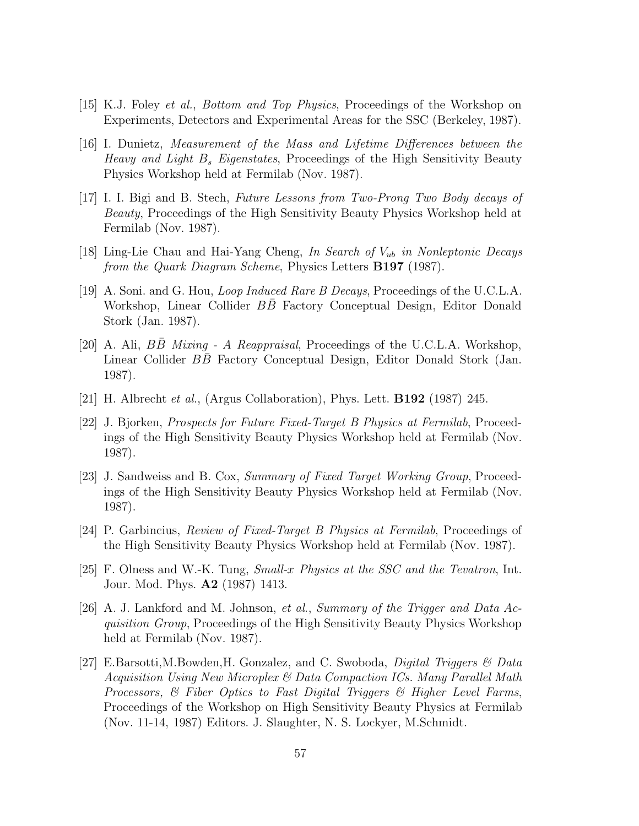- [15] K.J. Foley et al., Bottom and Top Physics, Proceedings of the Workshop on Experiments, Detectors and Experimental Areas for the SSC (Berkeley, 1987).
- [16] I. Dunietz, Measurement of the Mass and Lifetime Differences between the Heavy and Light B*<sup>s</sup>* Eigenstates, Proceedings of the High Sensitivity Beauty Physics Workshop held at Fermilab (Nov. 1987).
- [17] I. I. Bigi and B. Stech, Future Lessons from Two-Prong Two Body decays of Beauty, Proceedings of the High Sensitivity Beauty Physics Workshop held at Fermilab (Nov. 1987).
- [18] Ling-Lie Chau and Hai-Yang Cheng, In Search of V*ub* in Nonleptonic Decays from the Quark Diagram Scheme, Physics Letters **B197** (1987).
- [19] A. Soni. and G. Hou, Loop Induced Rare B Decays, Proceedings of the U.C.L.A. Workshop, Linear Collider BB Factory Conceptual Design, Editor Donald Stork (Jan. 1987).
- [20] A. Ali,  $B\overline{B}$  Mixing A Reappraisal, Proceedings of the U.C.L.A. Workshop, Linear Collider BB Factory Conceptual Design, Editor Donald Stork (Jan. 1987).
- [21] H. Albrecht et al., (Argus Collaboration), Phys. Lett. **B192** (1987) 245.
- [22] J. Bjorken, Prospects for Future Fixed-Target B Physics at Fermilab, Proceedings of the High Sensitivity Beauty Physics Workshop held at Fermilab (Nov. 1987).
- [23] J. Sandweiss and B. Cox, Summary of Fixed Target Working Group, Proceedings of the High Sensitivity Beauty Physics Workshop held at Fermilab (Nov. 1987).
- [24] P. Garbincius, Review of Fixed-Target B Physics at Fermilab, Proceedings of the High Sensitivity Beauty Physics Workshop held at Fermilab (Nov. 1987).
- [25] F. Olness and W.-K. Tung, Small-x Physics at the SSC and the Tevatron, Int. Jour. Mod. Phys. **A2** (1987) 1413.
- [26] A. J. Lankford and M. Johnson, et al., Summary of the Trigger and Data Acquisition Group, Proceedings of the High Sensitivity Beauty Physics Workshop held at Fermilab (Nov. 1987).
- [27] E.Barsotti,M.Bowden,H. Gonzalez, and C. Swoboda, *Digital Triggers*  $\mathcal{C}$  Data Acquisition Using New Microplex & Data Compaction ICs. Many Parallel Math Processors, & Fiber Optics to Fast Digital Triggers & Higher Level Farms, Proceedings of the Workshop on High Sensitivity Beauty Physics at Fermilab (Nov. 11-14, 1987) Editors. J. Slaughter, N. S. Lockyer, M.Schmidt.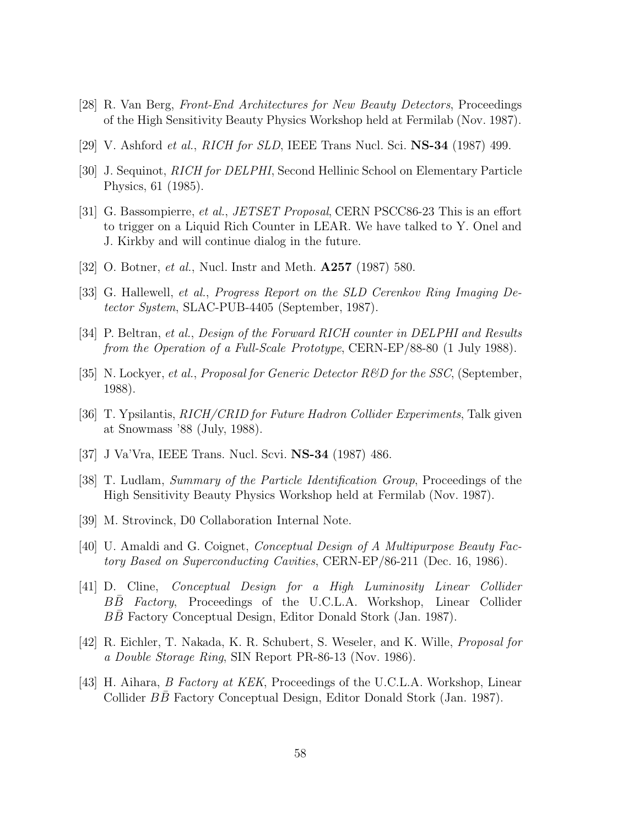- [28] R. Van Berg, Front-End Architectures for New Beauty Detectors, Proceedings of the High Sensitivity Beauty Physics Workshop held at Fermilab (Nov. 1987).
- [29] V. Ashford et al., RICH for SLD, IEEE Trans Nucl. Sci. **NS-34** (1987) 499.
- [30] J. Sequinot, RICH for DELPHI, Second Hellinic School on Elementary Particle Physics, 61 (1985).
- [31] G. Bassompierre, et al., JETSET Proposal, CERN PSCC86-23 This is an effort to trigger on a Liquid Rich Counter in LEAR. We have talked to Y. Onel and J. Kirkby and will continue dialog in the future.
- [32] O. Botner, et al., Nucl. Instr and Meth. **A257** (1987) 580.
- [33] G. Hallewell, et al., Progress Report on the SLD Cerenkov Ring Imaging Detector System, SLAC-PUB-4405 (September, 1987).
- [34] P. Beltran, et al., Design of the Forward RICH counter in DELPHI and Results from the Operation of a Full-Scale Prototype, CERN-EP/88-80 (1 July 1988).
- [35] N. Lockyer, *et al., Proposal for Generic Detector R&D for the SSC*, (September, 1988).
- [36] T. Ypsilantis, RICH/CRID for Future Hadron Collider Experiments, Talk given at Snowmass '88 (July, 1988).
- [37] J Va'Vra, IEEE Trans. Nucl. Scvi. **NS-34** (1987) 486.
- [38] T. Ludlam, Summary of the Particle Identification Group, Proceedings of the High Sensitivity Beauty Physics Workshop held at Fermilab (Nov. 1987).
- [39] M. Strovinck, D0 Collaboration Internal Note.
- [40] U. Amaldi and G. Coignet, Conceptual Design of A Multipurpose Beauty Factory Based on Superconducting Cavities, CERN-EP/86-211 (Dec. 16, 1986).
- [41] D. Cline, Conceptual Design for a High Luminosity Linear Collider BB Factory, Proceedings of the U.C.L.A. Workshop, Linear Collider BB Factory Conceptual Design, Editor Donald Stork (Jan. 1987).
- [42] R. Eichler, T. Nakada, K. R. Schubert, S. Weseler, and K. Wille, Proposal for a Double Storage Ring, SIN Report PR-86-13 (Nov. 1986).
- [43] H. Aihara, B Factory at KEK, Proceedings of the U.C.L.A. Workshop, Linear Collider BB Factory Conceptual Design, Editor Donald Stork (Jan. 1987).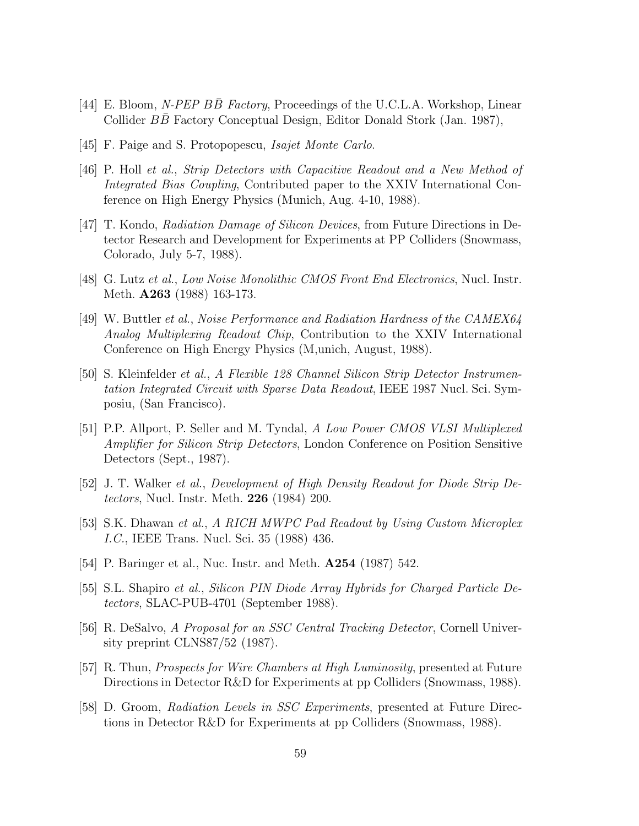- [44] E. Bloom, N-PEP BB Factory, Proceedings of the U.C.L.A. Workshop, Linear Collider BB Factory Conceptual Design, Editor Donald Stork (Jan. 1987),
- [45] F. Paige and S. Protopopescu, Isajet Monte Carlo.
- [46] P. Holl et al., Strip Detectors with Capacitive Readout and a New Method of Integrated Bias Coupling, Contributed paper to the XXIV International Conference on High Energy Physics (Munich, Aug. 4-10, 1988).
- [47] T. Kondo, Radiation Damage of Silicon Devices, from Future Directions in Detector Research and Development for Experiments at PP Colliders (Snowmass, Colorado, July 5-7, 1988).
- [48] G. Lutz et al., Low Noise Monolithic CMOS Front End Electronics, Nucl. Instr. Meth. **A263** (1988) 163-173.
- [49] W. Buttler et al., Noise Performance and Radiation Hardness of the CAMEX64 Analog Multiplexing Readout Chip, Contribution to the XXIV International Conference on High Energy Physics (M,unich, August, 1988).
- [50] S. Kleinfelder et al., A Flexible 128 Channel Silicon Strip Detector Instrumentation Integrated Circuit with Sparse Data Readout, IEEE 1987 Nucl. Sci. Symposiu, (San Francisco).
- [51] P.P. Allport, P. Seller and M. Tyndal, A Low Power CMOS VLSI Multiplexed Amplifier for Silicon Strip Detectors, London Conference on Position Sensitive Detectors (Sept., 1987).
- [52] J. T. Walker et al., Development of High Density Readout for Diode Strip Detectors, Nucl. Instr. Meth. **226** (1984) 200.
- [53] S.K. Dhawan et al., A RICH MWPC Pad Readout by Using Custom Microplex I.C., IEEE Trans. Nucl. Sci. 35 (1988) 436.
- [54] P. Baringer et al., Nuc. Instr. and Meth. **A254** (1987) 542.
- [55] S.L. Shapiro et al., Silicon PIN Diode Array Hybrids for Charged Particle Detectors, SLAC-PUB-4701 (September 1988).
- [56] R. DeSalvo, A Proposal for an SSC Central Tracking Detector, Cornell University preprint CLNS87/52 (1987).
- [57] R. Thun, Prospects for Wire Chambers at High Luminosity, presented at Future Directions in Detector R&D for Experiments at pp Colliders (Snowmass, 1988).
- [58] D. Groom, Radiation Levels in SSC Experiments, presented at Future Directions in Detector R&D for Experiments at pp Colliders (Snowmass, 1988).